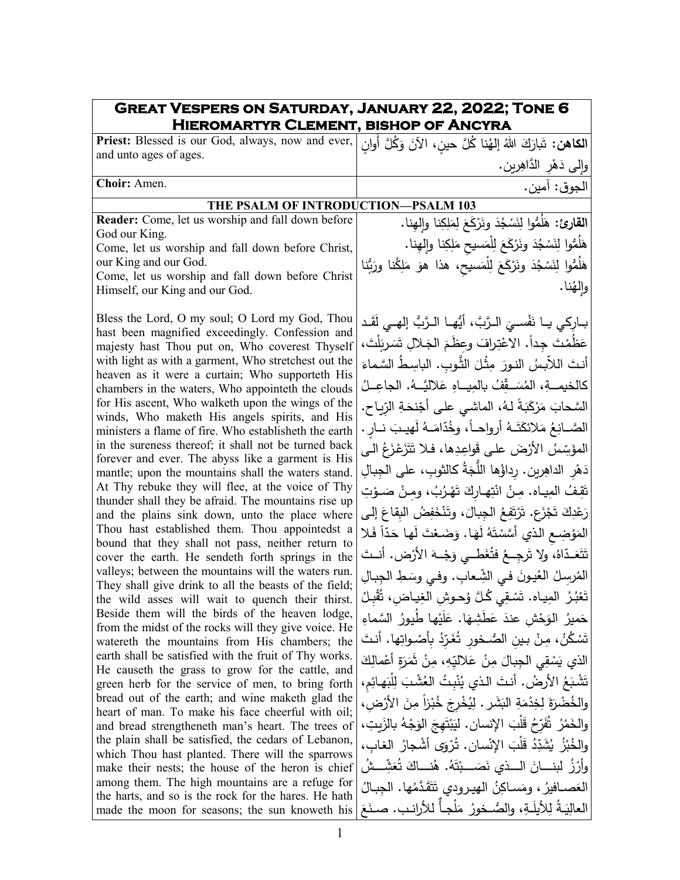| <b>GREAT VESPERS ON SATURDAY, JANUARY 22, 2022; TONE 6</b><br><b>HIEROMARTYR CLEMENT, BISHOP OF ANCYRA</b>                                                                                                                                                                                                                                                                                                                                                                                                                                                                                                                                                                                                                                                                                                                                                                                                                                                                                                                                                                                                                                                                                                                                                    |                                                                                                                                                                                                                                                                                                                                                                                                                                                                                                                                                                                                                                                                                                                                                                                                                                                                                                                                                                                        |
|---------------------------------------------------------------------------------------------------------------------------------------------------------------------------------------------------------------------------------------------------------------------------------------------------------------------------------------------------------------------------------------------------------------------------------------------------------------------------------------------------------------------------------------------------------------------------------------------------------------------------------------------------------------------------------------------------------------------------------------------------------------------------------------------------------------------------------------------------------------------------------------------------------------------------------------------------------------------------------------------------------------------------------------------------------------------------------------------------------------------------------------------------------------------------------------------------------------------------------------------------------------|----------------------------------------------------------------------------------------------------------------------------------------------------------------------------------------------------------------------------------------------------------------------------------------------------------------------------------------------------------------------------------------------------------------------------------------------------------------------------------------------------------------------------------------------------------------------------------------------------------------------------------------------------------------------------------------------------------------------------------------------------------------------------------------------------------------------------------------------------------------------------------------------------------------------------------------------------------------------------------------|
| Priest: Blessed is our God, always, now and ever, أَقَالَ أَوَانِ Priest: Blessed is our God, always, now and ever, أَقَالَ مَيْنِ، الآنَ وَكُلَّ أَوَانِ                                                                                                                                                                                                                                                                                                                                                                                                                                                                                                                                                                                                                                                                                                                                                                                                                                                                                                                                                                                                                                                                                                     |                                                                                                                                                                                                                                                                                                                                                                                                                                                                                                                                                                                                                                                                                                                                                                                                                                                                                                                                                                                        |
| and unto ages of ages.                                                                                                                                                                                                                                                                                                                                                                                                                                                                                                                                                                                                                                                                                                                                                                                                                                                                                                                                                                                                                                                                                                                                                                                                                                        | وإلى دَهْرِ الدَّاهِرِينِ.                                                                                                                                                                                                                                                                                                                                                                                                                                                                                                                                                                                                                                                                                                                                                                                                                                                                                                                                                             |
| Choir: Amen.                                                                                                                                                                                                                                                                                                                                                                                                                                                                                                                                                                                                                                                                                                                                                                                                                                                                                                                                                                                                                                                                                                                                                                                                                                                  | الجوق: آمين.                                                                                                                                                                                                                                                                                                                                                                                                                                                                                                                                                                                                                                                                                                                                                                                                                                                                                                                                                                           |
| THE PSALM OF INTRODUCTION-PSALM 103                                                                                                                                                                                                                                                                                                                                                                                                                                                                                                                                                                                                                                                                                                                                                                                                                                                                                                                                                                                                                                                                                                                                                                                                                           |                                                                                                                                                                                                                                                                                                                                                                                                                                                                                                                                                                                                                                                                                                                                                                                                                                                                                                                                                                                        |
| Reader: Come, let us worship and fall down before                                                                                                                                                                                                                                                                                                                                                                                                                                                                                                                                                                                                                                                                                                                                                                                                                                                                                                                                                                                                                                                                                                                                                                                                             | القارئ: هَلَمُّوا لِنَسْجُدَ ونَرْكَعَ لِمَلِكِنا وإلهِنا.                                                                                                                                                                                                                                                                                                                                                                                                                                                                                                                                                                                                                                                                                                                                                                                                                                                                                                                             |
| God our King.                                                                                                                                                                                                                                                                                                                                                                                                                                                                                                                                                                                                                                                                                                                                                                                                                                                                                                                                                                                                                                                                                                                                                                                                                                                 | هَلُمُّوا لِنَسْجُدَ ونَرْكَعَ لِلْمَسيحِ مَلِكِنا وإلهِنا.                                                                                                                                                                                                                                                                                                                                                                                                                                                                                                                                                                                                                                                                                                                                                                                                                                                                                                                            |
| Come, let us worship and fall down before Christ,<br>our King and our God.                                                                                                                                                                                                                                                                                                                                                                                                                                                                                                                                                                                                                                                                                                                                                                                                                                                                                                                                                                                                                                                                                                                                                                                    |                                                                                                                                                                                                                                                                                                                                                                                                                                                                                                                                                                                                                                                                                                                                                                                                                                                                                                                                                                                        |
| Come, let us worship and fall down before Christ                                                                                                                                                                                                                                                                                                                                                                                                                                                                                                                                                                                                                                                                                                                                                                                                                                                                                                                                                                                                                                                                                                                                                                                                              | هَلَمُّوا لِنَسْجُدَ ونَرْكَعَ لِلْمَسيحِ، هذا هوَ مَلِكُنا ورَبُّنا                                                                                                                                                                                                                                                                                                                                                                                                                                                                                                                                                                                                                                                                                                                                                                                                                                                                                                                   |
| Himself, our King and our God.                                                                                                                                                                                                                                                                                                                                                                                                                                                                                                                                                                                                                                                                                                                                                                                                                                                                                                                                                                                                                                                                                                                                                                                                                                | وإلهُنا.                                                                                                                                                                                                                                                                                                                                                                                                                                                                                                                                                                                                                                                                                                                                                                                                                                                                                                                                                                               |
| Bless the Lord, O my soul; O Lord my God, Thou<br>hast been magnified exceedingly. Confession and<br>majesty hast Thou put on, Who coverest Thyself<br>with light as with a garment, Who stretchest out the<br>heaven as it were a curtain; Who supporteth His<br>chambers in the waters, Who appointeth the clouds<br>for His ascent, Who walketh upon the wings of the<br>winds, Who maketh His angels spirits, and His<br>ministers a flame of fire. Who establisheth the earth<br>in the sureness thereof; it shall not be turned back<br>forever and ever. The abyss like a garment is His<br>mantle; upon the mountains shall the waters stand.<br>At Thy rebuke they will flee, at the voice of Thy<br>thunder shall they be afraid. The mountains rise up<br>and the plains sink down, unto the place where<br>Thou hast established them. Thou appointedst a<br>bound that they shall not pass, neither return to<br>cover the earth. He sendeth forth springs in the<br>valleys; between the mountains will the waters run.<br>They shall give drink to all the beasts of the field;<br>the wild asses will wait to quench their thirst.<br>Beside them will the birds of the heaven lodge,<br>from the midst of the rocks will they give voice. He | بــاركي يــا نَفْســيَ الـرَّبَّ، أَيُّهــا الــرَّبُّ إلهــي لَقَـد<br>عَظُمْتَ جداً. الاعْتِرافَ وعظَمَ الجَلالِ تَسَرِبَلْتَ،<br>أنتَ اللاَّبِسُ النـورَ مِثْلَ الثَّوبِ. الباسِطُ السَّماءَ<br>كالخيمــةِ، المُسَــقِّفُ بالمِيــاهِ عَلاليَّــهُ. الجاعِــلُ<br>السَّحابَ مَرْكَبَةً لـهُ، الماشـي علـي أَجْنحَةِ الرّياحِ.<br>الصَّــانِعُ مَلائكَتَــهُ أرواحــاً، وخُدّامَــهُ لَهيـبَ نــار .<br>المؤسِّسُ الأرْضَ على قَواعِدِها، فلا تَتَزَعْزَعُ الـى<br>دَهْرِ الداهِرِينِ. رداؤُها اللَّجَةُ كالثوبِ، على الجِبالِ<br>تَقِفُ المِيـاه. مِـنْ انْتِهـاركَ تَهْرُبُ، ومـنْ صَـوْتِ<br>رَعْدِكَ تَجْزَعٍ. تَرْتَفِعُ الْجِبالَ، وتَنْخَفِضُ البِقاعَ إلى<br>المَوْضِعِ الذي أَسَّسْتَهُ لَهَا. وَضَعْتَ لَها حَدّاً فَلا<br>تَتَعَـدّاهُ، ولا تَرجِــعُ فتُغَطــي وَجْــهَ الأَرْض. أنــتَ<br>المُرسِلُ العُيونَ في الشِّعابِ. وفي وسَطِ الجِبالِ<br>تَعْبُرُ المِياه. تَسْقِي كُلَّ وُحوشِ الغِياضِ، ثُقْبِلُ<br>حَميرُ الوَحْشِ عندَ عَطَشِهَا. عَلَيْها طَيورُ السَّماءِ |
| watereth the mountains from His chambers; the                                                                                                                                                                                                                                                                                                                                                                                                                                                                                                                                                                                                                                                                                                                                                                                                                                                                                                                                                                                                                                                                                                                                                                                                                 | تَسْكُنُ، مِنْ بين الصُـخور تُغَرّدُ بِأَصْـواتِها. أنـتَ                                                                                                                                                                                                                                                                                                                                                                                                                                                                                                                                                                                                                                                                                                                                                                                                                                                                                                                              |
| earth shall be satisfied with the fruit of Thy works.                                                                                                                                                                                                                                                                                                                                                                                                                                                                                                                                                                                                                                                                                                                                                                                                                                                                                                                                                                                                                                                                                                                                                                                                         | الذي يَسْقِي الْجِبالَ مِنْ عَلالَيِّهِ، مِنْ ثَمَرَةٍ أَعْمالِكَ                                                                                                                                                                                                                                                                                                                                                                                                                                                                                                                                                                                                                                                                                                                                                                                                                                                                                                                      |
| He causeth the grass to grow for the cattle, and<br>green herb for the service of men, to bring forth                                                                                                                                                                                                                                                                                                                                                                                                                                                                                                                                                                                                                                                                                                                                                                                                                                                                                                                                                                                                                                                                                                                                                         | تَشْبَعُ الأرضُ. أنتَ الذي يُنْبِتُ العُشْبَ لِلْبَهائِمِ،                                                                                                                                                                                                                                                                                                                                                                                                                                                                                                                                                                                                                                                                                                                                                                                                                                                                                                                             |
| bread out of the earth; and wine maketh glad the                                                                                                                                                                                                                                                                                                                                                                                                                                                                                                                                                                                                                                                                                                                                                                                                                                                                                                                                                                                                                                                                                                                                                                                                              | والخُضْرَةَ لِخِدْمَةِ النَشَرِ . لِيُخْرِجَ خُبْرْاً مِنَ الأَرْضِ،                                                                                                                                                                                                                                                                                                                                                                                                                                                                                                                                                                                                                                                                                                                                                                                                                                                                                                                   |
| heart of man. To make his face cheerful with oil;                                                                                                                                                                                                                                                                                                                                                                                                                                                                                                                                                                                                                                                                                                                                                                                                                                                                                                                                                                                                                                                                                                                                                                                                             | والخَمْرُ ۚ ثُفَرِّحُ قَلْبَ الإِنسانِ . ليَبْتَهجَ الوَجْهُ بِالزِّيتِ ،                                                                                                                                                                                                                                                                                                                                                                                                                                                                                                                                                                                                                                                                                                                                                                                                                                                                                                              |
| and bread strengtheneth man's heart. The trees of<br>the plain shall be satisfied, the cedars of Lebanon,                                                                                                                                                                                                                                                                                                                                                                                                                                                                                                                                                                                                                                                                                                                                                                                                                                                                                                                                                                                                                                                                                                                                                     |                                                                                                                                                                                                                                                                                                                                                                                                                                                                                                                                                                                                                                                                                                                                                                                                                                                                                                                                                                                        |
| which Thou hast planted. There will the sparrows                                                                                                                                                                                                                                                                                                                                                                                                                                                                                                                                                                                                                                                                                                                                                                                                                                                                                                                                                                                                                                                                                                                                                                                                              | والخُبْزُ يُشَدِّدُ قَلْبَ الإِنْسانِ. تُرْوَى أَشْجارُ الغابِ،                                                                                                                                                                                                                                                                                                                                                                                                                                                                                                                                                                                                                                                                                                                                                                                                                                                                                                                        |
| make their nests; the house of the heron is chief                                                                                                                                                                                                                                                                                                                                                                                                                                                                                                                                                                                                                                                                                                                                                                                                                                                                                                                                                                                                                                                                                                                                                                                                             | وأِرْزُ لبنسانَ السَّذي نَصَسْبْتَهُ. هُنساكَ تُعَشِّسْشُ                                                                                                                                                                                                                                                                                                                                                                                                                                                                                                                                                                                                                                                                                                                                                                                                                                                                                                                              |
| among them. The high mountains are a refuge for<br>the harts, and so is the rock for the hares. He hath                                                                                                                                                                                                                                                                                                                                                                                                                                                                                                                                                                                                                                                                                                                                                                                                                                                                                                                                                                                                                                                                                                                                                       | العَصــافيرُ ، ومَسـاكِنُ الـهيـرودي تَتَقَـدَّمُها. الـجبـالُ<br>العالِيَةُ لِلأَيلَةِ، والصُّخورُ مَلْجأً للأرانب. صنَعَ                                                                                                                                                                                                                                                                                                                                                                                                                                                                                                                                                                                                                                                                                                                                                                                                                                                             |
| made the moon for seasons; the sun knoweth his                                                                                                                                                                                                                                                                                                                                                                                                                                                                                                                                                                                                                                                                                                                                                                                                                                                                                                                                                                                                                                                                                                                                                                                                                |                                                                                                                                                                                                                                                                                                                                                                                                                                                                                                                                                                                                                                                                                                                                                                                                                                                                                                                                                                                        |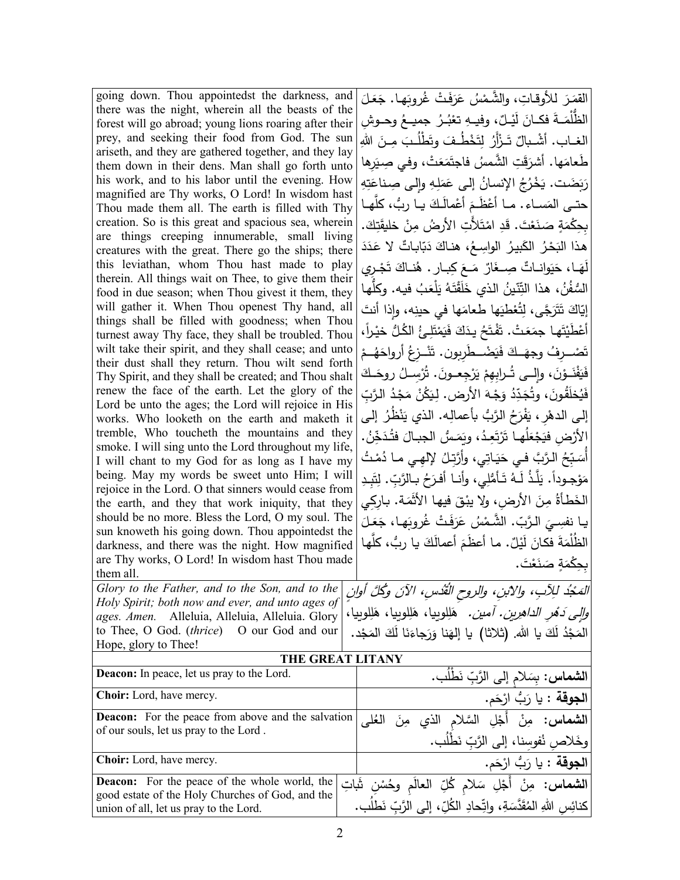| going down. Thou appointedst the darkness, and<br>there was the night, wherein all the beasts of the<br>forest will go abroad; young lions roaring after their<br>prey, and seeking their food from God. The sun<br>ariseth, and they are gathered together, and they lay<br>them down in their dens. Man shall go forth unto<br>his work, and to his labor until the evening. How<br>magnified are Thy works, O Lord! In wisdom hast<br>Thou made them all. The earth is filled with Thy<br>creation. So is this great and spacious sea, wherein<br>are things creeping innumerable, small living<br>creatures with the great. There go the ships; there<br>this leviathan, whom Thou hast made to play<br>therein. All things wait on Thee, to give them their<br>food in due season; when Thou givest it them, they<br>will gather it. When Thou openest Thy hand, all<br>things shall be filled with goodness; when Thou<br>turnest away Thy face, they shall be troubled. Thou<br>wilt take their spirit, and they shall cease; and unto<br>their dust shall they return. Thou wilt send forth<br>Thy Spirit, and they shall be created; and Thou shalt<br>renew the face of the earth. Let the glory of the<br>Lord be unto the ages; the Lord will rejoice in His<br>works. Who looketh on the earth and maketh it<br>tremble, Who toucheth the mountains and they<br>smoke. I will sing unto the Lord throughout my life,<br>I will chant to my God for as long as I have my<br>being. May my words be sweet unto Him; I will<br>rejoice in the Lord. O that sinners would cease from | القَمَرَ للأوقاتِ، والشَّمْسُ عَرَفَتْ غُروبَها. جَعَلَ<br>الظُّلِّمَــةَ فكــانَ لَيْـلٌ، وفيــهِ تعْبُـرُ جميــعُ وحــوش<br>الغــاب. أشْــبالٌ تَــزْأَرُ لِتَخْطُـفَ وتَطْلُـبَ مِــنَ اللهِ<br>طَعامَها. أشرَقَتِ الشَّمسُ فاجتَمَعَتْ، وفي صِيَرِها<br>رَبَضَت. يَخْرُجُ الإِنسانُ إِلى عَمَلِهِ وإِلى صِناعَتِهِ<br>حتـي المَســاء . مــا أَعْظَـمَ أَعْمالَـكَ يــا ربُّ، كلَّهـا<br>بحِكْمَةٍ صَنَعْتَ. قَدِ امْتَلأَتِ الأَرضُ مِنْ خليقَتِكَ.<br>هذا البَحْرُ الكَبِيرُ الواسِعُ، هناكَ دَبّاباتٌ لا عَدَدَ<br>لَهَـا، حَيَوانــاتٌ صِــغَارٌ مَــعَ كِبــار . هُنــاكَ تَجْـرِي<br>السُّفُنُ، هذا التِّنّينُ الذي خَلَقْتَهُ يَلْعَبُ فيه. وكلّها<br>إِيّاكَ تَتَرَجَّى، لِتُعْطِيَها طعامَها في حينِه، وإذا أنتَ<br>أَعْطَيْتَها جِمَعَتْ. تَفْتَحُ يدَكَ فَيَمْتَلِئُ الْكُلُّ خيْراً،<br>تَصْــرِفُ وجهَــكَ فَيَضْــطَرِبون. تَتْــزِعُ أَرواحَهُــمْ<br>فَيَفْذَوْنَ، وإِلــي تُـرابِهِمْ يَرْجِعــونَ. تُرْسِــلُ روحَــكَ<br>فَيُخلَقُونَ، وتُجَدِّدُ وَجْـهَ الأَرضِ. لِيَكُنْ مَجْدُ الرَّبِّ<br>إلىي الدهْرِ ، يَفْرَحُ الرَّبُّ بأعمالِه. الذي يَنْظُرُ إلىي<br>الأَرْضِ فيَجْعَلُهـا تَرْتَعِـدُ، ويَمَسُّ الجبـالَ فتُـدَخِّنُ.<br>أَسَبِّحُ الرَّبَّ فـي حَيَـاتِي، وأَرَّتِـلُ لِإلْهِـي مـا دُمْـتُ<br>مَوْجِـوداً. يَلَّذُ لَـهُ تَـأَمُّلِـى، وأنــا أفـرَحُ بـالرَّبِّ. لِتَبِـدِ |
|-----------------------------------------------------------------------------------------------------------------------------------------------------------------------------------------------------------------------------------------------------------------------------------------------------------------------------------------------------------------------------------------------------------------------------------------------------------------------------------------------------------------------------------------------------------------------------------------------------------------------------------------------------------------------------------------------------------------------------------------------------------------------------------------------------------------------------------------------------------------------------------------------------------------------------------------------------------------------------------------------------------------------------------------------------------------------------------------------------------------------------------------------------------------------------------------------------------------------------------------------------------------------------------------------------------------------------------------------------------------------------------------------------------------------------------------------------------------------------------------------------------------------------------------------------------------------------------------------|-----------------------------------------------------------------------------------------------------------------------------------------------------------------------------------------------------------------------------------------------------------------------------------------------------------------------------------------------------------------------------------------------------------------------------------------------------------------------------------------------------------------------------------------------------------------------------------------------------------------------------------------------------------------------------------------------------------------------------------------------------------------------------------------------------------------------------------------------------------------------------------------------------------------------------------------------------------------------------------------------------------------------------------------------------------------------------------------------------------------------------------------------------------------------------------------------------------------------------------------------------------------------------------------------------------------|
| darkness, and there was the night. How magnified<br>are Thy works, O Lord! In wisdom hast Thou made                                                                                                                                                                                                                                                                                                                                                                                                                                                                                                                                                                                                                                                                                                                                                                                                                                                                                                                                                                                                                                                                                                                                                                                                                                                                                                                                                                                                                                                                                           | الظُلْمَةَ فكانَ لَيْلٌ. ما أعظَمَ أعمالَكَ يا ربُّ، كلّها<br>بجِكْمَةٍ صَنَعْتَ.                                                                                                                                                                                                                                                                                                                                                                                                                                                                                                                                                                                                                                                                                                                                                                                                                                                                                                                                                                                                                                                                                                                                                                                                                               |
| them all.                                                                                                                                                                                                                                                                                                                                                                                                                                                                                                                                                                                                                                                                                                                                                                                                                                                                                                                                                                                                                                                                                                                                                                                                                                                                                                                                                                                                                                                                                                                                                                                     |                                                                                                                                                                                                                                                                                                                                                                                                                                                                                                                                                                                                                                                                                                                                                                                                                                                                                                                                                                                                                                                                                                                                                                                                                                                                                                                 |
| Glory to the Father, and to the Son, and to the<br>Holy Spirit; both now and ever, and unto ages of<br>ages. Amen. Alleluia, Alleluia, Alleluia. Glory<br>to Thee, O God. (thrice) O our God and our<br>Hope, glory to Thee!                                                                                                                                                                                                                                                                                                                                                                                                                                                                                                                                                                                                                                                                                                                                                                                                                                                                                                                                                                                                                                                                                                                                                                                                                                                                                                                                                                  | الْمَجْدُ لِلِآبِ، والآبنِ، والروحِ الْقُدْسِ، الآنَ وكُلَّ أُوان<br><i>والي دُهر الداهرِين. أمين.</i> هَلِلوييا، هَلِلوييا، هَلِلويا،<br>المَجْدُ لَكَ يا الله. (ثلاثا) يا إلهَنا وَرَجاءَنَا لَكَ المَجْد.                                                                                                                                                                                                                                                                                                                                                                                                                                                                                                                                                                                                                                                                                                                                                                                                                                                                                                                                                                                                                                                                                                    |
|                                                                                                                                                                                                                                                                                                                                                                                                                                                                                                                                                                                                                                                                                                                                                                                                                                                                                                                                                                                                                                                                                                                                                                                                                                                                                                                                                                                                                                                                                                                                                                                               | THE GREAT LITANY                                                                                                                                                                                                                                                                                                                                                                                                                                                                                                                                                                                                                                                                                                                                                                                                                                                                                                                                                                                                                                                                                                                                                                                                                                                                                                |
| <b>Deacon:</b> In peace, let us pray to the Lord.                                                                                                                                                                                                                                                                                                                                                                                                                                                                                                                                                                                                                                                                                                                                                                                                                                                                                                                                                                                                                                                                                                                                                                                                                                                                                                                                                                                                                                                                                                                                             | ا <b>لشماس:</b> بِسَلام إلى الرَّبِّ نَطْلُب.                                                                                                                                                                                                                                                                                                                                                                                                                                                                                                                                                                                                                                                                                                                                                                                                                                                                                                                                                                                                                                                                                                                                                                                                                                                                   |
| Choir: Lord, have mercy.                                                                                                                                                                                                                                                                                                                                                                                                                                                                                                                                                                                                                                                                                                                                                                                                                                                                                                                                                                                                                                                                                                                                                                                                                                                                                                                                                                                                                                                                                                                                                                      | ا <b>لجوقة</b> : يا رَبُّ ارْحَم.                                                                                                                                                                                                                                                                                                                                                                                                                                                                                                                                                                                                                                                                                                                                                                                                                                                                                                                                                                                                                                                                                                                                                                                                                                                                               |
| <b>Deacon:</b> For the peace from above and the salvation<br>of our souls, let us pray to the Lord.                                                                                                                                                                                                                                                                                                                                                                                                                                                                                                                                                                                                                                                                                                                                                                                                                                                                                                                                                                                                                                                                                                                                                                                                                                                                                                                                                                                                                                                                                           | <b>الشماس:</b> مِنْ أَجْلِ السَّلام الذي مِنَ الْعُل <sub>َى</sub><br>وخَلاصِ نُفوسِنا، إلى الرَّبِّ نَطْلَب.                                                                                                                                                                                                                                                                                                                                                                                                                                                                                                                                                                                                                                                                                                                                                                                                                                                                                                                                                                                                                                                                                                                                                                                                   |
| Choir: Lord, have mercy.                                                                                                                                                                                                                                                                                                                                                                                                                                                                                                                                                                                                                                                                                                                                                                                                                                                                                                                                                                                                                                                                                                                                                                                                                                                                                                                                                                                                                                                                                                                                                                      | ا <b>لجوقة</b> : يا رَبُّ ارْحَم.                                                                                                                                                                                                                                                                                                                                                                                                                                                                                                                                                                                                                                                                                                                                                                                                                                                                                                                                                                                                                                                                                                                                                                                                                                                                               |
| <b>Deacon:</b> For the peace of the whole world, the<br>good estate of the Holy Churches of God, and the<br>union of all, let us pray to the Lord.                                                                                                                                                                                                                                                                                                                                                                                                                                                                                                                                                                                                                                                                                                                                                                                                                                                                                                                                                                                                                                                                                                                                                                                                                                                                                                                                                                                                                                            | ا <b>لشماس:</b> مِنْ أَجْلِ سَلام كُلِّ العالَم وحُسْنِ شَاتِ<br>كنائِس اللهِ المُقَدَّسَةِ، واتِّحادِ الكُلِّ، إلى الرَّبِّ نَطلَب.                                                                                                                                                                                                                                                                                                                                                                                                                                                                                                                                                                                                                                                                                                                                                                                                                                                                                                                                                                                                                                                                                                                                                                            |
|                                                                                                                                                                                                                                                                                                                                                                                                                                                                                                                                                                                                                                                                                                                                                                                                                                                                                                                                                                                                                                                                                                                                                                                                                                                                                                                                                                                                                                                                                                                                                                                               |                                                                                                                                                                                                                                                                                                                                                                                                                                                                                                                                                                                                                                                                                                                                                                                                                                                                                                                                                                                                                                                                                                                                                                                                                                                                                                                 |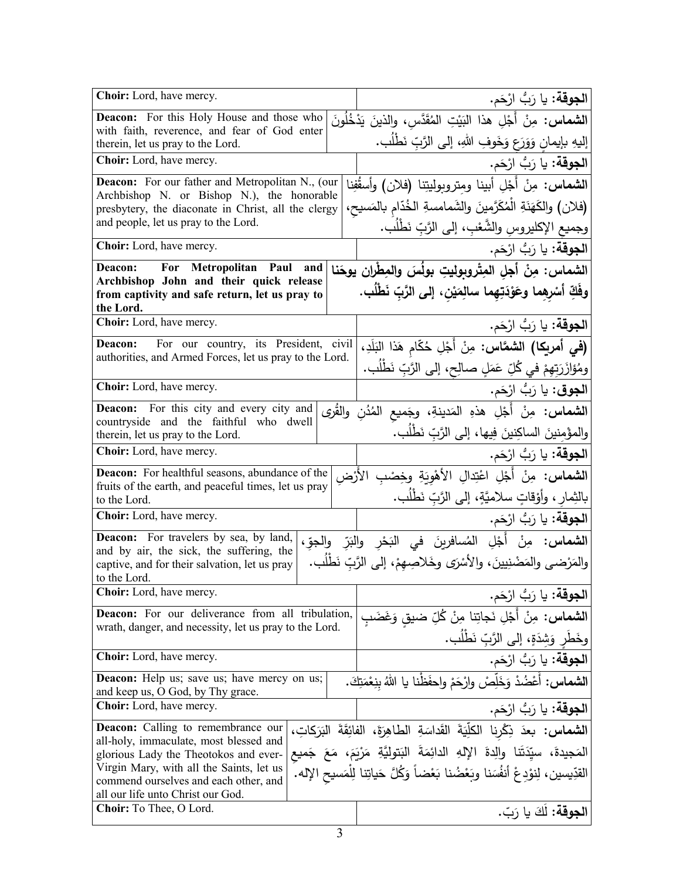| Choir: Lord, have mercy.                                                                                  |  | ا <b>لجوقة:</b> يا رَبُّ ارْحَم.                                                       |  |  |  |
|-----------------------------------------------------------------------------------------------------------|--|----------------------------------------------------------------------------------------|--|--|--|
| <b>Deacon:</b> For this Holy House and those who<br>with faith, reverence, and fear of God enter          |  | ا <b>لشماس:</b> مِنْ أَجْلِ هذا البَيْتِ المُقَدَّس، والذينَ يَدْخُلُونَ               |  |  |  |
| therein, let us pray to the Lord.                                                                         |  | إليهِ بإيمانِ وَوَرَعٍ وَخَوفِ اللهِ، إلى الرَّبِّ نَطْلُبٍ.                           |  |  |  |
| Choir: Lord, have mercy.                                                                                  |  | ا <b>لجوقة:</b> يا رَبُّ ارْحَم.                                                       |  |  |  |
| <b>Deacon:</b> For our father and Metropolitan N., (our<br>Archbishop N. or Bishop N.), the honorable     |  | الشماس: مِنْ أَجْلِ أَبَيْنَا وَمِترَوْبِولِيتِنَا (فلان) وأسقُفِنا                    |  |  |  |
| presbytery, the diaconate in Christ, all the clergy                                                       |  | (فلان) والكَهَنَةِ الْمُكَرَّمينَ والشَمامسةِ الخُدّام بالمَسيح،                       |  |  |  |
| and people, let us pray to the Lord.                                                                      |  | وجميع الإكليروس والشَّعْبِ، إلى الرَّبِّ نَطْلَب.                                      |  |  |  |
| Choir: Lord, have mercy.                                                                                  |  | ا <b>لجوقة:</b> يا رَبُّ ارْحَم.                                                       |  |  |  |
| For Metropolitan Paul<br>and<br><b>Deacon:</b>                                                            |  | الشماس: مِنْ أجلِ المِتْروبوليتِ بولُسَ والمِطْرانِ يوحَنا                             |  |  |  |
| Archbishop John and their quick release<br>from captivity and safe return, let us pray to<br>the Lord.    |  | وفَكِّ أَسْرِهِما وعَوْدَتِهِما سالِمَيْن، إلى الرَّبِّ نَطْلُب.                       |  |  |  |
| Choir: Lord, have mercy.                                                                                  |  | ا <b>لجوقة:</b> يا رَبُّ ارْحَم.                                                       |  |  |  |
| For our country, its President, civil<br>Deacon:                                                          |  | (في أمريكا) الشعَّاس: مِنْ أَجْلِ حُكَّام هَذا البَلَدِ،                               |  |  |  |
| authorities, and Armed Forces, let us pray to the Lord.                                                   |  | ومُؤازَرَتِهِمْ في كُلِّ عَمَلٍ صالِحٍ، إلى الرَّبِّ نَطْلُب.                          |  |  |  |
| Choir: Lord, have mercy.                                                                                  |  | ا <b>لجوق</b> : يا رَبُّ ارْحَم.                                                       |  |  |  |
| Deacon: For this city and every city and                                                                  |  | <b>الشماس:</b> مِنْ أَجْلِ هذهِ المَدينةِ، وجَميع المُدُنِ والقُرى                     |  |  |  |
| countryside and the faithful who dwell<br>therein, let us pray to the Lord.                               |  | والمؤْمِنينَ الساكِنينَ فِيها، إلى الرَّبّ نَطْلُب.                                    |  |  |  |
| Choir: Lord, have mercy.                                                                                  |  | ا <b>لجوقة:</b> يا رَبُّ ارْحَم.                                                       |  |  |  |
| <b>Deacon:</b> For healthful seasons, abundance of the                                                    |  | <b>الشماس:</b> مِنْ أَجْلِ اعْتِدالِ الأَهْوِيَةِ وخِصْبِ الأَرْض                      |  |  |  |
| fruits of the earth, and peaceful times, let us pray<br>to the Lord.                                      |  | بالثِمار ، وأَوْقاتٍ سلاميَّةٍ، إلى الرَّبِّ نَطْلُب.                                  |  |  |  |
| Choir: Lord, have mercy.                                                                                  |  | ا <b>لجوقة:</b> يا رَبُّ ارْحَم.                                                       |  |  |  |
| <b>Deacon:</b> For travelers by sea, by land,                                                             |  | <b>الشماس:</b> مِنْ أَجْلِ المُسافرينَ في البَحْرِ والبَرِّ والجوِّ،                   |  |  |  |
| and by air, the sick, the suffering, the<br>captive, and for their salvation, let us pray<br>to the Lord. |  | والمَرْضىي والمَضْنِيينَ، والأَسْرَى وخَلاصِهِمْ، إلى الرَّبِّ نَطْلُبٍ.               |  |  |  |
| Choir: Lord, have mercy.                                                                                  |  | ا <b>لجوقة:</b> يا رَبُّ ارْحَم.                                                       |  |  |  |
| Deacon: For our deliverance from all tribulation,                                                         |  | <b>الشماس:</b> مِنْ أَجْلِ نَجاتِنا مِنْ كُلِّ ضيقِ وَغَضَبِ                           |  |  |  |
| wrath, danger, and necessity, let us pray to the Lord.                                                    |  | وخَطَر وَشِدَةٍ، إلى الرَّبِّ نَطْلُب.                                                 |  |  |  |
| Choir: Lord, have mercy.                                                                                  |  | ا <b>لجوقة:</b> يا رَبُّ ارْحَم.                                                       |  |  |  |
| <b>Deacon:</b> Help us; save us; have mercy on us;<br>and keep us, O God, by Thy grace.                   |  | ال <b>شماس:</b> أَعْضُدْ وَخَلِّصْ وارْحَمْ واحفَظْنا يا اللهُ بِنِعْمَتِكَ.           |  |  |  |
| Choir: Lord, have mercy.                                                                                  |  | ا <b>لجوقة:</b> يا رَبُّ ارْحَم.                                                       |  |  |  |
| <b>Deacon:</b> Calling to remembrance our<br>all-holy, immaculate, most blessed and                       |  | الشماس: بعدَ ذِكْرِنا الكلِّيَةَ القَداسَةِ الطاهِرَةَ، الفائِقَةَ البَرَكاتِ،         |  |  |  |
| glorious Lady the Theotokos and ever-                                                                     |  | المَجيدةَ، سيِّدَتَنا والِدةَ الإِلهِ الدائِمَةَ البَتوليَّةِ مَرْيَمَ، مَعَ جَميعِ    |  |  |  |
| Virgin Mary, with all the Saints, let us<br>commend ourselves and each other, and                         |  | القدِّيسين، لِنوْدِعْ أَنفُسَنا وبَعْضُنا بَعْضاً وَكُلَّ حَياتِنا لِلْمَسيحِ الإله. َ |  |  |  |
| all our life unto Christ our God.<br>Choir: To Thee, O Lord.                                              |  | ا <b>لجوقة:</b> لَكَ يا رَبّ.                                                          |  |  |  |
|                                                                                                           |  |                                                                                        |  |  |  |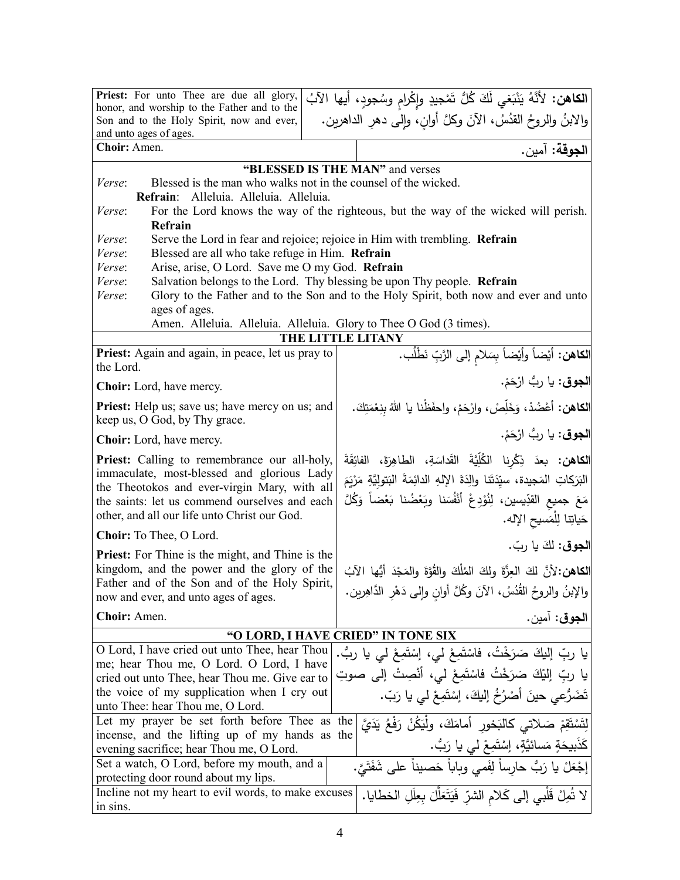| والابنُ والروحُ القُدُسُ، الآنَ وكلَّ أوانٍ، وإلى دهرِ الداهرينِ.<br>Son and to the Holy Spirit, now and ever,<br>and unto ages of ages.<br>Choir: Amen.<br>ا <b>لجوقة:</b> آمين.<br>"BLESSED IS THE MAN" and verses<br>Verse:<br>Blessed is the man who walks not in the counsel of the wicked.<br>Refrain: Alleluia. Alleluia. Alleluia.<br>For the Lord knows the way of the righteous, but the way of the wicked will perish.<br><i>Verse:</i><br>Refrain<br>Serve the Lord in fear and rejoice; rejoice in Him with trembling. Refrain<br><i>Verse:</i><br>Blessed are all who take refuge in Him. Refrain<br>Verse:<br>Arise, arise, O Lord. Save me O my God. Refrain<br>Verse:<br>Salvation belongs to the Lord. Thy blessing be upon Thy people. Refrain<br><i>Verse:</i><br>Glory to the Father and to the Son and to the Holy Spirit, both now and ever and unto<br>Verse:<br>ages of ages.<br>Amen. Alleluia. Alleluia. Alleluia. Glory to Thee O God (3 times).<br>THE LITTLE LITANY<br>الكاهن: أيْضاً وأيْضاً بِسَلامِ إلى الرَّبِّ نَطْلُب.<br>Priest: Again and again, in peace, let us pray to<br>the Lord.<br>الجوق: يا ربُّ ارْحَمْ.<br><b>Choir:</b> Lord, have mercy.<br>الكاهن: أَعْضُدْ، وَخَلِّصْ، وارْحَمْ، واحفَظْنا يا اللهُ بنِعْمَتِكَ.<br><b>Priest:</b> Help us; save us; have mercy on us; and<br>keep us, O God, by Thy grace.<br>ا <b>لجوق</b> : يا ربُّ ارْحَمْ.<br><b>Choir:</b> Lord, have mercy.<br>ا <b>لكاهن: بع</b> دَ ذِكْرِنا الكُلِّيَّةَ القَداسَةِ، الطاهِرَةَ، الفائِقَةَ<br>Priest: Calling to remembrance our all-holy,<br>immaculate, most-blessed and glorious Lady<br>البَرَكاتِ المَجيدة، سيِّدَتَنا والِدَةَ الإِلهِ الدائِمَةَ البَتوليَّةِ مَرْيَمَ<br>the Theotokos and ever-virgin Mary, with all<br>مَعَ جميع القدِّيسين، لِنُوْدِعْ أَنْفُسَنا وبَعْضُنا بَعْضاً وَكُلَّ<br>the saints: let us commend ourselves and each<br>other, and all our life unto Christ our God.<br> حَياتِنا لِلْمَسيح الإِله.<br>Choir: To Thee, O Lord.<br>ا <b>لجوق</b> : لكَ يا ربّ.<br>Priest: For Thine is the might, and Thine is the<br>kingdom, and the power and the glory of the<br><b>الكاهن:</b> لأنَّ لكَ العِزَّةَ ولِكَ المُلْكَ والقُوَّةَ والمَجْدَ أَيُّها الآبُ<br>Father and of the Son and of the Holy Spirit.<br>والإبنُ والروحُ القُدُسُ، الآنَ وكُلَّ أوانِ وإلى دَهْرِ الدَّاهِرِينِ.<br>now and ever, and unto ages of ages.<br>Choir: Amen.<br>ا <b>لجوق</b> : آمين.<br>"O LORD, I HAVE CRIED" IN TONE SIX<br>O Lord, I have cried out unto Thee, hear Thou<br>يا ربِّ إليكَ صَرَخْتُ، فاسْتَمِعْ لي، إسْتَمِعْ لي يا ربُّ.<br>me; hear Thou me, O Lord. O Lord, I have<br>يا ربِّ إليْكَ صَرَخْتُ فاسْتَمِعْ لي، أَنْصِتْ إلى صوتِ<br>cried out unto Thee, hear Thou me. Give ear to<br>the voice of my supplication when I cry out<br>تَضَرُّعي حينَ أَصْرُخُ إِلَيكَ، إِسْتَمِعْ لَي يا رَبّ.<br>unto Thee: hear Thou me, O Lord.<br>Let my prayer be set forth before Thee as the<br>لِتَسْتَقِمْ صَلاتي كالبَخور أمامَكَ، ولْيَكُنْ رَفْعُ يَدَيَّ<br>incense, and the lifting up of my hands as the<br>كَذَبِيحَةٍ مَسائيَّةٍ، إِسْتَمِعْ لَي يا رَبُّ.<br>evening sacrifice; hear Thou me, O Lord.<br>Set a watch, O Lord, before my mouth, and a<br>إِجْعَلْ يا رَبُّ حارساً لِفَمى وبِاباً حَصيناً على شَفَتَىّ.<br>protecting door round about my lips.<br>Incline not my heart to evil words, to make excuses<br>لا تُمِلْ قَلْبِي إِلَى كَلامِ الشِّرِّ فَيَتَعَلَّلَ بِعِلَلِ الخطايا. | Priest: For unto Thee are due all glory,    | ا <b>لكاهن:</b> لأنَّهُ يَنْبَغي لَكَ كُلُّ تَمْجِيدٍ وإِكْرامِ وسُجودٍ، أيها الآبُ |
|-----------------------------------------------------------------------------------------------------------------------------------------------------------------------------------------------------------------------------------------------------------------------------------------------------------------------------------------------------------------------------------------------------------------------------------------------------------------------------------------------------------------------------------------------------------------------------------------------------------------------------------------------------------------------------------------------------------------------------------------------------------------------------------------------------------------------------------------------------------------------------------------------------------------------------------------------------------------------------------------------------------------------------------------------------------------------------------------------------------------------------------------------------------------------------------------------------------------------------------------------------------------------------------------------------------------------------------------------------------------------------------------------------------------------------------------------------------------------------------------------------------------------------------------------------------------------------------------------------------------------------------------------------------------------------------------------------------------------------------------------------------------------------------------------------------------------------------------------------------------------------------------------------------------------------------------------------------------------------------------------------------------------------------------------------------------------------------------------------------------------------------------------------------------------------------------------------------------------------------------------------------------------------------------------------------------------------------------------------------------------------------------------------------------------------------------------------------------------------------------------------------------------------------------------------------------------------------------------------------------------------------------------------------------------------------------------------------------------------------------------------------------------------------------------------------------------------------------------------------------------------------------------------------------------------------------------------------------------------------------------------------------------------------------------------------------------------------------------------------------------------------------------------------------------------------------------------------------------------------------------------------------------------------------------------------------------------------------------------------------------------------------------------------------------------------------------------------------------|---------------------------------------------|-------------------------------------------------------------------------------------|
|                                                                                                                                                                                                                                                                                                                                                                                                                                                                                                                                                                                                                                                                                                                                                                                                                                                                                                                                                                                                                                                                                                                                                                                                                                                                                                                                                                                                                                                                                                                                                                                                                                                                                                                                                                                                                                                                                                                                                                                                                                                                                                                                                                                                                                                                                                                                                                                                                                                                                                                                                                                                                                                                                                                                                                                                                                                                                                                                                                                                                                                                                                                                                                                                                                                                                                                                                                                                                                                                       | honor, and worship to the Father and to the |                                                                                     |
|                                                                                                                                                                                                                                                                                                                                                                                                                                                                                                                                                                                                                                                                                                                                                                                                                                                                                                                                                                                                                                                                                                                                                                                                                                                                                                                                                                                                                                                                                                                                                                                                                                                                                                                                                                                                                                                                                                                                                                                                                                                                                                                                                                                                                                                                                                                                                                                                                                                                                                                                                                                                                                                                                                                                                                                                                                                                                                                                                                                                                                                                                                                                                                                                                                                                                                                                                                                                                                                                       |                                             |                                                                                     |
|                                                                                                                                                                                                                                                                                                                                                                                                                                                                                                                                                                                                                                                                                                                                                                                                                                                                                                                                                                                                                                                                                                                                                                                                                                                                                                                                                                                                                                                                                                                                                                                                                                                                                                                                                                                                                                                                                                                                                                                                                                                                                                                                                                                                                                                                                                                                                                                                                                                                                                                                                                                                                                                                                                                                                                                                                                                                                                                                                                                                                                                                                                                                                                                                                                                                                                                                                                                                                                                                       |                                             |                                                                                     |
|                                                                                                                                                                                                                                                                                                                                                                                                                                                                                                                                                                                                                                                                                                                                                                                                                                                                                                                                                                                                                                                                                                                                                                                                                                                                                                                                                                                                                                                                                                                                                                                                                                                                                                                                                                                                                                                                                                                                                                                                                                                                                                                                                                                                                                                                                                                                                                                                                                                                                                                                                                                                                                                                                                                                                                                                                                                                                                                                                                                                                                                                                                                                                                                                                                                                                                                                                                                                                                                                       |                                             |                                                                                     |
|                                                                                                                                                                                                                                                                                                                                                                                                                                                                                                                                                                                                                                                                                                                                                                                                                                                                                                                                                                                                                                                                                                                                                                                                                                                                                                                                                                                                                                                                                                                                                                                                                                                                                                                                                                                                                                                                                                                                                                                                                                                                                                                                                                                                                                                                                                                                                                                                                                                                                                                                                                                                                                                                                                                                                                                                                                                                                                                                                                                                                                                                                                                                                                                                                                                                                                                                                                                                                                                                       |                                             |                                                                                     |
|                                                                                                                                                                                                                                                                                                                                                                                                                                                                                                                                                                                                                                                                                                                                                                                                                                                                                                                                                                                                                                                                                                                                                                                                                                                                                                                                                                                                                                                                                                                                                                                                                                                                                                                                                                                                                                                                                                                                                                                                                                                                                                                                                                                                                                                                                                                                                                                                                                                                                                                                                                                                                                                                                                                                                                                                                                                                                                                                                                                                                                                                                                                                                                                                                                                                                                                                                                                                                                                                       |                                             |                                                                                     |
|                                                                                                                                                                                                                                                                                                                                                                                                                                                                                                                                                                                                                                                                                                                                                                                                                                                                                                                                                                                                                                                                                                                                                                                                                                                                                                                                                                                                                                                                                                                                                                                                                                                                                                                                                                                                                                                                                                                                                                                                                                                                                                                                                                                                                                                                                                                                                                                                                                                                                                                                                                                                                                                                                                                                                                                                                                                                                                                                                                                                                                                                                                                                                                                                                                                                                                                                                                                                                                                                       |                                             |                                                                                     |
|                                                                                                                                                                                                                                                                                                                                                                                                                                                                                                                                                                                                                                                                                                                                                                                                                                                                                                                                                                                                                                                                                                                                                                                                                                                                                                                                                                                                                                                                                                                                                                                                                                                                                                                                                                                                                                                                                                                                                                                                                                                                                                                                                                                                                                                                                                                                                                                                                                                                                                                                                                                                                                                                                                                                                                                                                                                                                                                                                                                                                                                                                                                                                                                                                                                                                                                                                                                                                                                                       |                                             |                                                                                     |
|                                                                                                                                                                                                                                                                                                                                                                                                                                                                                                                                                                                                                                                                                                                                                                                                                                                                                                                                                                                                                                                                                                                                                                                                                                                                                                                                                                                                                                                                                                                                                                                                                                                                                                                                                                                                                                                                                                                                                                                                                                                                                                                                                                                                                                                                                                                                                                                                                                                                                                                                                                                                                                                                                                                                                                                                                                                                                                                                                                                                                                                                                                                                                                                                                                                                                                                                                                                                                                                                       |                                             |                                                                                     |
|                                                                                                                                                                                                                                                                                                                                                                                                                                                                                                                                                                                                                                                                                                                                                                                                                                                                                                                                                                                                                                                                                                                                                                                                                                                                                                                                                                                                                                                                                                                                                                                                                                                                                                                                                                                                                                                                                                                                                                                                                                                                                                                                                                                                                                                                                                                                                                                                                                                                                                                                                                                                                                                                                                                                                                                                                                                                                                                                                                                                                                                                                                                                                                                                                                                                                                                                                                                                                                                                       |                                             |                                                                                     |
|                                                                                                                                                                                                                                                                                                                                                                                                                                                                                                                                                                                                                                                                                                                                                                                                                                                                                                                                                                                                                                                                                                                                                                                                                                                                                                                                                                                                                                                                                                                                                                                                                                                                                                                                                                                                                                                                                                                                                                                                                                                                                                                                                                                                                                                                                                                                                                                                                                                                                                                                                                                                                                                                                                                                                                                                                                                                                                                                                                                                                                                                                                                                                                                                                                                                                                                                                                                                                                                                       |                                             |                                                                                     |
|                                                                                                                                                                                                                                                                                                                                                                                                                                                                                                                                                                                                                                                                                                                                                                                                                                                                                                                                                                                                                                                                                                                                                                                                                                                                                                                                                                                                                                                                                                                                                                                                                                                                                                                                                                                                                                                                                                                                                                                                                                                                                                                                                                                                                                                                                                                                                                                                                                                                                                                                                                                                                                                                                                                                                                                                                                                                                                                                                                                                                                                                                                                                                                                                                                                                                                                                                                                                                                                                       |                                             |                                                                                     |
|                                                                                                                                                                                                                                                                                                                                                                                                                                                                                                                                                                                                                                                                                                                                                                                                                                                                                                                                                                                                                                                                                                                                                                                                                                                                                                                                                                                                                                                                                                                                                                                                                                                                                                                                                                                                                                                                                                                                                                                                                                                                                                                                                                                                                                                                                                                                                                                                                                                                                                                                                                                                                                                                                                                                                                                                                                                                                                                                                                                                                                                                                                                                                                                                                                                                                                                                                                                                                                                                       |                                             |                                                                                     |
|                                                                                                                                                                                                                                                                                                                                                                                                                                                                                                                                                                                                                                                                                                                                                                                                                                                                                                                                                                                                                                                                                                                                                                                                                                                                                                                                                                                                                                                                                                                                                                                                                                                                                                                                                                                                                                                                                                                                                                                                                                                                                                                                                                                                                                                                                                                                                                                                                                                                                                                                                                                                                                                                                                                                                                                                                                                                                                                                                                                                                                                                                                                                                                                                                                                                                                                                                                                                                                                                       |                                             |                                                                                     |
|                                                                                                                                                                                                                                                                                                                                                                                                                                                                                                                                                                                                                                                                                                                                                                                                                                                                                                                                                                                                                                                                                                                                                                                                                                                                                                                                                                                                                                                                                                                                                                                                                                                                                                                                                                                                                                                                                                                                                                                                                                                                                                                                                                                                                                                                                                                                                                                                                                                                                                                                                                                                                                                                                                                                                                                                                                                                                                                                                                                                                                                                                                                                                                                                                                                                                                                                                                                                                                                                       |                                             |                                                                                     |
|                                                                                                                                                                                                                                                                                                                                                                                                                                                                                                                                                                                                                                                                                                                                                                                                                                                                                                                                                                                                                                                                                                                                                                                                                                                                                                                                                                                                                                                                                                                                                                                                                                                                                                                                                                                                                                                                                                                                                                                                                                                                                                                                                                                                                                                                                                                                                                                                                                                                                                                                                                                                                                                                                                                                                                                                                                                                                                                                                                                                                                                                                                                                                                                                                                                                                                                                                                                                                                                                       |                                             |                                                                                     |
|                                                                                                                                                                                                                                                                                                                                                                                                                                                                                                                                                                                                                                                                                                                                                                                                                                                                                                                                                                                                                                                                                                                                                                                                                                                                                                                                                                                                                                                                                                                                                                                                                                                                                                                                                                                                                                                                                                                                                                                                                                                                                                                                                                                                                                                                                                                                                                                                                                                                                                                                                                                                                                                                                                                                                                                                                                                                                                                                                                                                                                                                                                                                                                                                                                                                                                                                                                                                                                                                       |                                             |                                                                                     |
|                                                                                                                                                                                                                                                                                                                                                                                                                                                                                                                                                                                                                                                                                                                                                                                                                                                                                                                                                                                                                                                                                                                                                                                                                                                                                                                                                                                                                                                                                                                                                                                                                                                                                                                                                                                                                                                                                                                                                                                                                                                                                                                                                                                                                                                                                                                                                                                                                                                                                                                                                                                                                                                                                                                                                                                                                                                                                                                                                                                                                                                                                                                                                                                                                                                                                                                                                                                                                                                                       |                                             |                                                                                     |
|                                                                                                                                                                                                                                                                                                                                                                                                                                                                                                                                                                                                                                                                                                                                                                                                                                                                                                                                                                                                                                                                                                                                                                                                                                                                                                                                                                                                                                                                                                                                                                                                                                                                                                                                                                                                                                                                                                                                                                                                                                                                                                                                                                                                                                                                                                                                                                                                                                                                                                                                                                                                                                                                                                                                                                                                                                                                                                                                                                                                                                                                                                                                                                                                                                                                                                                                                                                                                                                                       |                                             |                                                                                     |
|                                                                                                                                                                                                                                                                                                                                                                                                                                                                                                                                                                                                                                                                                                                                                                                                                                                                                                                                                                                                                                                                                                                                                                                                                                                                                                                                                                                                                                                                                                                                                                                                                                                                                                                                                                                                                                                                                                                                                                                                                                                                                                                                                                                                                                                                                                                                                                                                                                                                                                                                                                                                                                                                                                                                                                                                                                                                                                                                                                                                                                                                                                                                                                                                                                                                                                                                                                                                                                                                       |                                             |                                                                                     |
|                                                                                                                                                                                                                                                                                                                                                                                                                                                                                                                                                                                                                                                                                                                                                                                                                                                                                                                                                                                                                                                                                                                                                                                                                                                                                                                                                                                                                                                                                                                                                                                                                                                                                                                                                                                                                                                                                                                                                                                                                                                                                                                                                                                                                                                                                                                                                                                                                                                                                                                                                                                                                                                                                                                                                                                                                                                                                                                                                                                                                                                                                                                                                                                                                                                                                                                                                                                                                                                                       |                                             |                                                                                     |
|                                                                                                                                                                                                                                                                                                                                                                                                                                                                                                                                                                                                                                                                                                                                                                                                                                                                                                                                                                                                                                                                                                                                                                                                                                                                                                                                                                                                                                                                                                                                                                                                                                                                                                                                                                                                                                                                                                                                                                                                                                                                                                                                                                                                                                                                                                                                                                                                                                                                                                                                                                                                                                                                                                                                                                                                                                                                                                                                                                                                                                                                                                                                                                                                                                                                                                                                                                                                                                                                       |                                             |                                                                                     |
|                                                                                                                                                                                                                                                                                                                                                                                                                                                                                                                                                                                                                                                                                                                                                                                                                                                                                                                                                                                                                                                                                                                                                                                                                                                                                                                                                                                                                                                                                                                                                                                                                                                                                                                                                                                                                                                                                                                                                                                                                                                                                                                                                                                                                                                                                                                                                                                                                                                                                                                                                                                                                                                                                                                                                                                                                                                                                                                                                                                                                                                                                                                                                                                                                                                                                                                                                                                                                                                                       |                                             |                                                                                     |
|                                                                                                                                                                                                                                                                                                                                                                                                                                                                                                                                                                                                                                                                                                                                                                                                                                                                                                                                                                                                                                                                                                                                                                                                                                                                                                                                                                                                                                                                                                                                                                                                                                                                                                                                                                                                                                                                                                                                                                                                                                                                                                                                                                                                                                                                                                                                                                                                                                                                                                                                                                                                                                                                                                                                                                                                                                                                                                                                                                                                                                                                                                                                                                                                                                                                                                                                                                                                                                                                       |                                             |                                                                                     |
|                                                                                                                                                                                                                                                                                                                                                                                                                                                                                                                                                                                                                                                                                                                                                                                                                                                                                                                                                                                                                                                                                                                                                                                                                                                                                                                                                                                                                                                                                                                                                                                                                                                                                                                                                                                                                                                                                                                                                                                                                                                                                                                                                                                                                                                                                                                                                                                                                                                                                                                                                                                                                                                                                                                                                                                                                                                                                                                                                                                                                                                                                                                                                                                                                                                                                                                                                                                                                                                                       |                                             |                                                                                     |
|                                                                                                                                                                                                                                                                                                                                                                                                                                                                                                                                                                                                                                                                                                                                                                                                                                                                                                                                                                                                                                                                                                                                                                                                                                                                                                                                                                                                                                                                                                                                                                                                                                                                                                                                                                                                                                                                                                                                                                                                                                                                                                                                                                                                                                                                                                                                                                                                                                                                                                                                                                                                                                                                                                                                                                                                                                                                                                                                                                                                                                                                                                                                                                                                                                                                                                                                                                                                                                                                       |                                             |                                                                                     |
|                                                                                                                                                                                                                                                                                                                                                                                                                                                                                                                                                                                                                                                                                                                                                                                                                                                                                                                                                                                                                                                                                                                                                                                                                                                                                                                                                                                                                                                                                                                                                                                                                                                                                                                                                                                                                                                                                                                                                                                                                                                                                                                                                                                                                                                                                                                                                                                                                                                                                                                                                                                                                                                                                                                                                                                                                                                                                                                                                                                                                                                                                                                                                                                                                                                                                                                                                                                                                                                                       |                                             |                                                                                     |
|                                                                                                                                                                                                                                                                                                                                                                                                                                                                                                                                                                                                                                                                                                                                                                                                                                                                                                                                                                                                                                                                                                                                                                                                                                                                                                                                                                                                                                                                                                                                                                                                                                                                                                                                                                                                                                                                                                                                                                                                                                                                                                                                                                                                                                                                                                                                                                                                                                                                                                                                                                                                                                                                                                                                                                                                                                                                                                                                                                                                                                                                                                                                                                                                                                                                                                                                                                                                                                                                       |                                             |                                                                                     |
|                                                                                                                                                                                                                                                                                                                                                                                                                                                                                                                                                                                                                                                                                                                                                                                                                                                                                                                                                                                                                                                                                                                                                                                                                                                                                                                                                                                                                                                                                                                                                                                                                                                                                                                                                                                                                                                                                                                                                                                                                                                                                                                                                                                                                                                                                                                                                                                                                                                                                                                                                                                                                                                                                                                                                                                                                                                                                                                                                                                                                                                                                                                                                                                                                                                                                                                                                                                                                                                                       |                                             |                                                                                     |
|                                                                                                                                                                                                                                                                                                                                                                                                                                                                                                                                                                                                                                                                                                                                                                                                                                                                                                                                                                                                                                                                                                                                                                                                                                                                                                                                                                                                                                                                                                                                                                                                                                                                                                                                                                                                                                                                                                                                                                                                                                                                                                                                                                                                                                                                                                                                                                                                                                                                                                                                                                                                                                                                                                                                                                                                                                                                                                                                                                                                                                                                                                                                                                                                                                                                                                                                                                                                                                                                       |                                             |                                                                                     |
|                                                                                                                                                                                                                                                                                                                                                                                                                                                                                                                                                                                                                                                                                                                                                                                                                                                                                                                                                                                                                                                                                                                                                                                                                                                                                                                                                                                                                                                                                                                                                                                                                                                                                                                                                                                                                                                                                                                                                                                                                                                                                                                                                                                                                                                                                                                                                                                                                                                                                                                                                                                                                                                                                                                                                                                                                                                                                                                                                                                                                                                                                                                                                                                                                                                                                                                                                                                                                                                                       |                                             |                                                                                     |
|                                                                                                                                                                                                                                                                                                                                                                                                                                                                                                                                                                                                                                                                                                                                                                                                                                                                                                                                                                                                                                                                                                                                                                                                                                                                                                                                                                                                                                                                                                                                                                                                                                                                                                                                                                                                                                                                                                                                                                                                                                                                                                                                                                                                                                                                                                                                                                                                                                                                                                                                                                                                                                                                                                                                                                                                                                                                                                                                                                                                                                                                                                                                                                                                                                                                                                                                                                                                                                                                       |                                             |                                                                                     |
|                                                                                                                                                                                                                                                                                                                                                                                                                                                                                                                                                                                                                                                                                                                                                                                                                                                                                                                                                                                                                                                                                                                                                                                                                                                                                                                                                                                                                                                                                                                                                                                                                                                                                                                                                                                                                                                                                                                                                                                                                                                                                                                                                                                                                                                                                                                                                                                                                                                                                                                                                                                                                                                                                                                                                                                                                                                                                                                                                                                                                                                                                                                                                                                                                                                                                                                                                                                                                                                                       |                                             |                                                                                     |
|                                                                                                                                                                                                                                                                                                                                                                                                                                                                                                                                                                                                                                                                                                                                                                                                                                                                                                                                                                                                                                                                                                                                                                                                                                                                                                                                                                                                                                                                                                                                                                                                                                                                                                                                                                                                                                                                                                                                                                                                                                                                                                                                                                                                                                                                                                                                                                                                                                                                                                                                                                                                                                                                                                                                                                                                                                                                                                                                                                                                                                                                                                                                                                                                                                                                                                                                                                                                                                                                       |                                             |                                                                                     |
|                                                                                                                                                                                                                                                                                                                                                                                                                                                                                                                                                                                                                                                                                                                                                                                                                                                                                                                                                                                                                                                                                                                                                                                                                                                                                                                                                                                                                                                                                                                                                                                                                                                                                                                                                                                                                                                                                                                                                                                                                                                                                                                                                                                                                                                                                                                                                                                                                                                                                                                                                                                                                                                                                                                                                                                                                                                                                                                                                                                                                                                                                                                                                                                                                                                                                                                                                                                                                                                                       |                                             |                                                                                     |
|                                                                                                                                                                                                                                                                                                                                                                                                                                                                                                                                                                                                                                                                                                                                                                                                                                                                                                                                                                                                                                                                                                                                                                                                                                                                                                                                                                                                                                                                                                                                                                                                                                                                                                                                                                                                                                                                                                                                                                                                                                                                                                                                                                                                                                                                                                                                                                                                                                                                                                                                                                                                                                                                                                                                                                                                                                                                                                                                                                                                                                                                                                                                                                                                                                                                                                                                                                                                                                                                       |                                             |                                                                                     |
|                                                                                                                                                                                                                                                                                                                                                                                                                                                                                                                                                                                                                                                                                                                                                                                                                                                                                                                                                                                                                                                                                                                                                                                                                                                                                                                                                                                                                                                                                                                                                                                                                                                                                                                                                                                                                                                                                                                                                                                                                                                                                                                                                                                                                                                                                                                                                                                                                                                                                                                                                                                                                                                                                                                                                                                                                                                                                                                                                                                                                                                                                                                                                                                                                                                                                                                                                                                                                                                                       |                                             |                                                                                     |
|                                                                                                                                                                                                                                                                                                                                                                                                                                                                                                                                                                                                                                                                                                                                                                                                                                                                                                                                                                                                                                                                                                                                                                                                                                                                                                                                                                                                                                                                                                                                                                                                                                                                                                                                                                                                                                                                                                                                                                                                                                                                                                                                                                                                                                                                                                                                                                                                                                                                                                                                                                                                                                                                                                                                                                                                                                                                                                                                                                                                                                                                                                                                                                                                                                                                                                                                                                                                                                                                       |                                             |                                                                                     |
|                                                                                                                                                                                                                                                                                                                                                                                                                                                                                                                                                                                                                                                                                                                                                                                                                                                                                                                                                                                                                                                                                                                                                                                                                                                                                                                                                                                                                                                                                                                                                                                                                                                                                                                                                                                                                                                                                                                                                                                                                                                                                                                                                                                                                                                                                                                                                                                                                                                                                                                                                                                                                                                                                                                                                                                                                                                                                                                                                                                                                                                                                                                                                                                                                                                                                                                                                                                                                                                                       |                                             |                                                                                     |
|                                                                                                                                                                                                                                                                                                                                                                                                                                                                                                                                                                                                                                                                                                                                                                                                                                                                                                                                                                                                                                                                                                                                                                                                                                                                                                                                                                                                                                                                                                                                                                                                                                                                                                                                                                                                                                                                                                                                                                                                                                                                                                                                                                                                                                                                                                                                                                                                                                                                                                                                                                                                                                                                                                                                                                                                                                                                                                                                                                                                                                                                                                                                                                                                                                                                                                                                                                                                                                                                       |                                             |                                                                                     |
|                                                                                                                                                                                                                                                                                                                                                                                                                                                                                                                                                                                                                                                                                                                                                                                                                                                                                                                                                                                                                                                                                                                                                                                                                                                                                                                                                                                                                                                                                                                                                                                                                                                                                                                                                                                                                                                                                                                                                                                                                                                                                                                                                                                                                                                                                                                                                                                                                                                                                                                                                                                                                                                                                                                                                                                                                                                                                                                                                                                                                                                                                                                                                                                                                                                                                                                                                                                                                                                                       |                                             |                                                                                     |
|                                                                                                                                                                                                                                                                                                                                                                                                                                                                                                                                                                                                                                                                                                                                                                                                                                                                                                                                                                                                                                                                                                                                                                                                                                                                                                                                                                                                                                                                                                                                                                                                                                                                                                                                                                                                                                                                                                                                                                                                                                                                                                                                                                                                                                                                                                                                                                                                                                                                                                                                                                                                                                                                                                                                                                                                                                                                                                                                                                                                                                                                                                                                                                                                                                                                                                                                                                                                                                                                       |                                             |                                                                                     |
| in sins.                                                                                                                                                                                                                                                                                                                                                                                                                                                                                                                                                                                                                                                                                                                                                                                                                                                                                                                                                                                                                                                                                                                                                                                                                                                                                                                                                                                                                                                                                                                                                                                                                                                                                                                                                                                                                                                                                                                                                                                                                                                                                                                                                                                                                                                                                                                                                                                                                                                                                                                                                                                                                                                                                                                                                                                                                                                                                                                                                                                                                                                                                                                                                                                                                                                                                                                                                                                                                                                              |                                             |                                                                                     |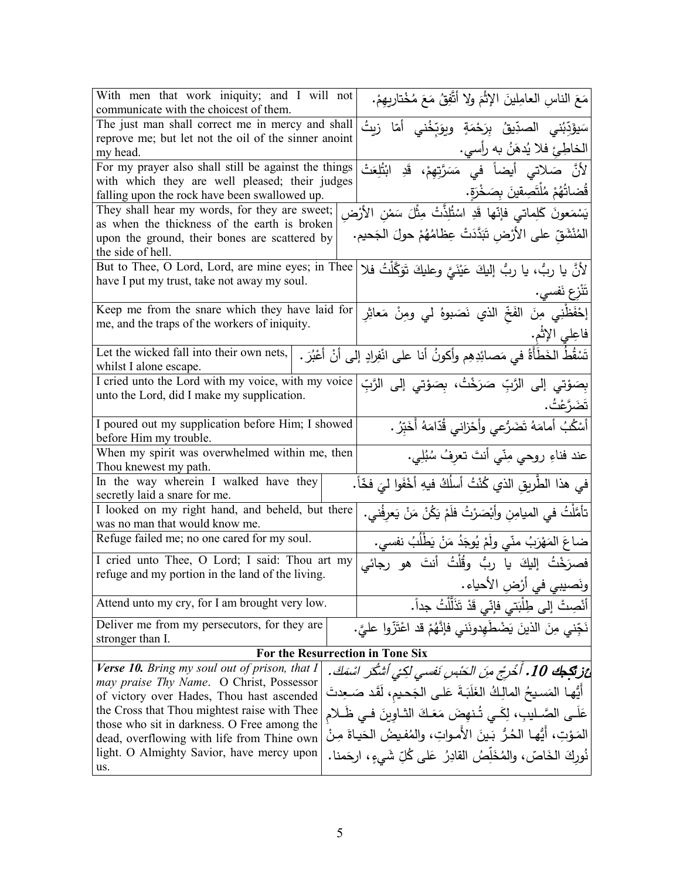| With men that work iniquity; and I will not                                                      |                                                                   | مَعَ الناسِ العامِلينَ الإِثْمَ ولا أنَّفِقُ مَعَ مُخْتارِيهِمْ.                                  |  |  |  |
|--------------------------------------------------------------------------------------------------|-------------------------------------------------------------------|---------------------------------------------------------------------------------------------------|--|--|--|
| communicate with the choicest of them.                                                           |                                                                   |                                                                                                   |  |  |  |
| The just man shall correct me in mercy and shall                                                 |                                                                   | سَيؤَدِّبُني الصِّدِّيقُ بِرَحْمَةٍ ويوَبِّخُني أمّا زيتُ                                         |  |  |  |
|                                                                                                  | reprove me; but let not the oil of the sinner anoint              |                                                                                                   |  |  |  |
| my head.                                                                                         |                                                                   | الخاطِئ فلا يُدهَنُ به رأِسي.                                                                     |  |  |  |
| For my prayer also shall still be against the things                                             |                                                                   | لأَنَّ صَلاتي أيضاً في مَسَرَّتِهِمْ، قَدِ ابْتُلِعَتْ                                            |  |  |  |
| with which they are well pleased; their judges                                                   |                                                                   | قُضاتُهُمْ مُلْتَصِقِينَ بِصَخْرَةٍ.                                                              |  |  |  |
| falling upon the rock have been swallowed up.<br>They shall hear my words, for they are sweet;   |                                                                   |                                                                                                   |  |  |  |
| as when the thickness of the earth is broken                                                     |                                                                   | يَسْمَعونَ كَلِماتي فإنّها قَدِ اسْتُلِذَّتْ مِثْلَ سَمْنِ الأَرْضِ                               |  |  |  |
| upon the ground, their bones are scattered by                                                    |                                                                   | المُنْشَقِّ على الأَرْضِ تَبَدَّدَتْ عِظامُهُمْ حولَ الجَحيم.                                     |  |  |  |
| the side of hell.                                                                                |                                                                   |                                                                                                   |  |  |  |
| But to Thee, O Lord, Lord, are mine eyes; in Thee                                                |                                                                   | لأنَّ يا ربُّ، يا ربُّ إليكَ عَيْنَيَّ وعليكَ تَوَكَّلْتُ فلا                                     |  |  |  |
| have I put my trust, take not away my soul.                                                      |                                                                   |                                                                                                   |  |  |  |
|                                                                                                  |                                                                   | تَنْزِع نَفسي.                                                                                    |  |  |  |
| Keep me from the snare which they have laid for                                                  |                                                                   | إِحْفَظْنِي مِنَ الفَخِّ الذي نَصَبوهُ لي ومِنْ مَعاثِرِ                                          |  |  |  |
| me, and the traps of the workers of iniquity.                                                    |                                                                   |                                                                                                   |  |  |  |
|                                                                                                  |                                                                   |                                                                                                   |  |  |  |
| Let the wicked fall into their own nets,                                                         |                                                                   | فاعِلي الإِثْمِ.<br>تَسْقُطُ الخَطَأَةُ في مَصائِدِهِم وأكونُ أنا على انْفِرادٍ إلى أنْ أعْبُرَ . |  |  |  |
| whilst I alone escape.                                                                           |                                                                   |                                                                                                   |  |  |  |
| I cried unto the Lord with my voice, with my voice                                               |                                                                   | بِصَوْتِي إِلَى الرَّبِّ صَرَخْتُ، بِصَوْتِي إِلَى الرَّبِّ                                       |  |  |  |
| unto the Lord, did I make my supplication.                                                       |                                                                   | تَضَرَّعْتُ.                                                                                      |  |  |  |
| I poured out my supplication before Him; I showed                                                |                                                                   | أَسْكُبُ أَمامَهُ تَضَرُّعي وأَحْزاني قُدّامَهُ أَخَبِّرُ .                                       |  |  |  |
| before Him my trouble.                                                                           |                                                                   |                                                                                                   |  |  |  |
| When my spirit was overwhelmed within me, then                                                   |                                                                   | عند فناءِ روحي مِنّي أنتَ تعرِفُ سُبُلِي.                                                         |  |  |  |
| Thou knewest my path.                                                                            |                                                                   |                                                                                                   |  |  |  |
| In the way wherein I walked have they                                                            |                                                                   | في هذا الطَّربِّقِ الذي كُنْتُ أسلُكُ فيهِ أَخْفَوا ليَ فخّاً.                                    |  |  |  |
| secretly laid a snare for me.                                                                    |                                                                   |                                                                                                   |  |  |  |
| I looked on my right hand, and beheld, but there                                                 | تَأْمَّلْتُ في الميامِنِ وأَبْصَرْتُ فلَمْ يَكُنْ مَنْ يَعرِفُني. |                                                                                                   |  |  |  |
| was no man that would know me.                                                                   |                                                                   |                                                                                                   |  |  |  |
| Refuge failed me; no one cared for my soul.                                                      |                                                                   | ضاعَ المَهْرَبُ منّي ولَمْ يُوجَدُ مَنْ يَطْلُبُ نفسى.                                            |  |  |  |
| I cried unto Thee, O Lord; I said: Thou art my                                                   |                                                                   | فصرَخْتُ إليكَ يا ربُّ وقُلْتُ أنتَ هو رجائي                                                      |  |  |  |
| refuge and my portion in the land of the living.                                                 |                                                                   | ونَصيبي في أرْضِ الأحياء.                                                                         |  |  |  |
| Attend unto my cry, for I am brought very low.                                                   |                                                                   |                                                                                                   |  |  |  |
|                                                                                                  |                                                                   | أَنْصِتْ إلى طِلْبَتي فإنّي قَدْ تَذَلَّلْتُ جِداً.                                               |  |  |  |
| Deliver me from my persecutors, for they are                                                     |                                                                   | نَجِّني مِنَ الذينَ يَضْطَهِدونَنى فإنَّهُمْ قد اعْتَزُّوا عليَّ.                                 |  |  |  |
| stronger than I.<br>For the Resurrection in Tone Six                                             |                                                                   |                                                                                                   |  |  |  |
|                                                                                                  |                                                                   |                                                                                                   |  |  |  |
| <b>Verse 10.</b> Bring my soul out of prison, that I<br>may praise Thy Name. O Christ, Possessor |                                                                   | ئز <b>تَكِيكُ 10 .</b> أُخْرِجْ مِنَ الْحَبْسِ نَفْسى لَكِنْي أَشْكُرِ اسْمَكَ .                  |  |  |  |
| of victory over Hades, Thou hast ascended                                                        |                                                                   | أَيُّها المَسيحُ المالِكُ الغَلَبَةَ عَلى الجَحيم، لَقَد صَعِدتَ                                  |  |  |  |
| the Cross that Thou mightest raise with Thee                                                     |                                                                   |                                                                                                   |  |  |  |
| those who sit in darkness. O Free among the                                                      |                                                                   | عَلَـى الصَّـليبِ، لِكَـى تُـنهِضَ مَعَـكَ الثـاوِينَ فـى ظُـلام                                  |  |  |  |
| dead, overflowing with life from Thine own                                                       |                                                                   | المَـوْتِ، أَيُّهـا الحُـرُّ بَـينَ الأَمـواتِ، والمُفـيضُ الـحَيـاةَ مِـنْ                       |  |  |  |
| light. O Almighty Savior, have mercy upon                                                        |                                                                   | نُورِكَ الخَاصِّ، والمُخَلِّصُ القادِرُ  عَلى كُلِّ شَيءٍ، ارحَمنا.                               |  |  |  |
| us.                                                                                              |                                                                   |                                                                                                   |  |  |  |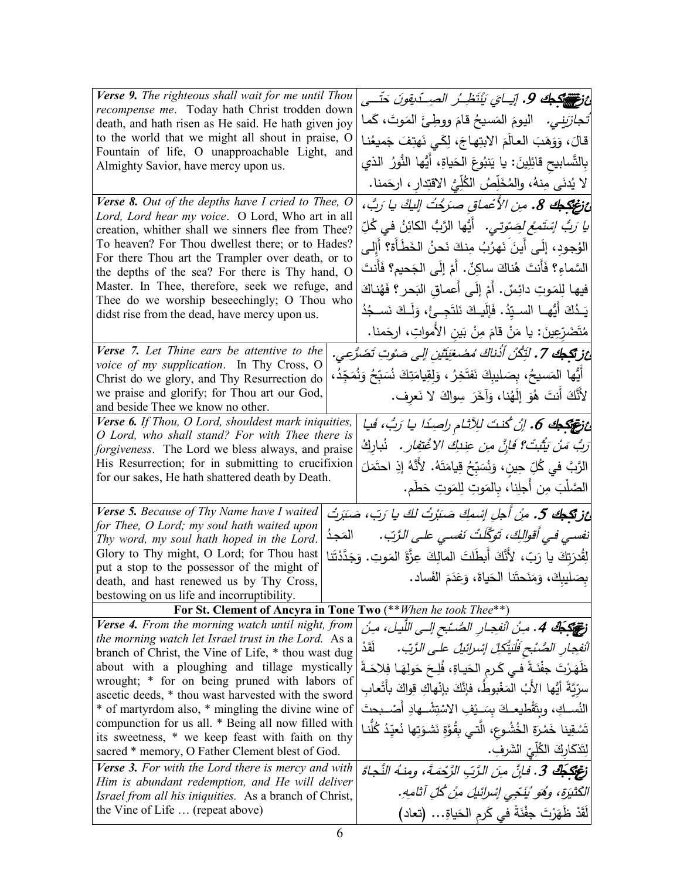| Verse 9. The righteous shall wait for me until Thou<br>recompense me. Today hath Christ trodden down<br>death, and hath risen as He said. He hath given joy<br>to the world that we might all shout in praise, O<br>Fountain of life, O unapproachable Light, and<br>Almighty Savior, have mercy upon us.                                                                                                                                                                          | ئ السلطني 9. إيّــايَ يُنْتَظِــُر الصِــدّيقونَ حَتّــى<br>تُ <i>جازَيَنِي.</i> اليومَ المَسيحُ قامَ ووطِئَ المَوتَ، كَما<br>قالَ، وَوَهَبَ العالَمَ الابتِهاجَ، لِكَي نَهتِفَ جَميعُنـا<br>بِالتَّسابيح قائِلِينَ: يا يَنبُوعَ الحَياةِ، أَيُّها النُّورُ الذي<br>لا يُدنَى مِنهُ، والمُخَلِّصُ الكُلِّيُّ الاقتِدارِ ، ارحَمنا.                                                                                                                         |  |  |  |
|------------------------------------------------------------------------------------------------------------------------------------------------------------------------------------------------------------------------------------------------------------------------------------------------------------------------------------------------------------------------------------------------------------------------------------------------------------------------------------|------------------------------------------------------------------------------------------------------------------------------------------------------------------------------------------------------------------------------------------------------------------------------------------------------------------------------------------------------------------------------------------------------------------------------------------------------------|--|--|--|
| <b>Verse 8.</b> Out of the depths have I cried to Thee, O<br>Lord, Lord hear my voice. O Lord, Who art in all<br>creation, whither shall we sinners flee from Thee?<br>To heaven? For Thou dwellest there; or to Hades?<br>For there Thou art the Trampler over death, or to<br>the depths of the sea? For there is Thy hand, O<br>Master. In Thee, therefore, seek we refuge, and<br>Thee do we worship beseechingly; O Thou who<br>didst rise from the dead, have mercy upon us. | ئ في 19 من الأعماق صرَحْتُ اللِكَ يا رَبُّ،<br><i>يا رَبُّ إِسْتَمِعْ لِصَوْتِي.</i> ۚ أَيُّها الرَّبُّ الكائِنُ في كُلِّ<br>الوُجودِ، إِلَى أَينَ نَهرُبُ مِنكَ نَحنُ الخَطَأَة؟ أَإِلـى<br>السَّماءِ؟ فَأنتَ هُناكَ ساكِنٌ. أمْ إلَى الجَحيم؟ فَأَنتَ<br>فيها لِلمَوتِ دائِسٌ. أَمْ إِلَى أَعماقِ البَحرِ ؟ فَهُناكَ<br>يَـدُكَ أَيُّهـا السـيّدُ. فَإِلَيـكَ نَلتَجِـئُ، وَلَـكَ نَسـجُدُ<br>مُتَضَرّعِينَ: يا مَنْ قامَ مِنْ بَينِ الأَمواتِ، ارجَمنا. |  |  |  |
| Verse 7. Let Thine ears be attentive to the<br>voice of my supplication. In Thy Cross, O<br>Christ do we glory, and Thy Resurrection do<br>we praise and glorify; for Thou art our God,<br>and beside Thee we know no other.                                                                                                                                                                                                                                                       | عز <b>تَكِطِهُ 7 .</b> لَتَكُنْ أَذَناكَ مُصْغِيَتَينِ إِلى صَنُوتِ تَضَرُّعي.<br>أَيُّها المَسيحُ، بِصَليبِكَ نَفتَخِرُ ، وَلقِيامَتِكَ نُسَبِّحُ وَنُمَجِّدُ،<br>لأَنَّكَ أَنتَ هُوَ إِلَهُنا، وَآخَرَ سِواكَ لا نَعرف.                                                                                                                                                                                                                                  |  |  |  |
| Verse 6. If Thou, O Lord, shouldest mark iniquities,<br>O Lord, who shall stand? For with Thee there is<br>forgiveness. The Lord we bless always, and praise<br>His Resurrection; for in submitting to crucifixion<br>for our sakes, He hath shattered death by Death.                                                                                                                                                                                                             | رَبٌ مَ <i>نْ يَثْبُتْ؟ فَإِنَّ مِن</i> عِن <i>دكِ الاغْتِفار .</i> نُباركُ<br>الرَّبَّ في كُلِّ حِينٍ، وَنُسَبِّحُ قِيامَتَهُ. لأَنَّهُ إذِ احتَمَلَ<br>الصَّلْبَ مِن أَجلِنا، بالمَوتِ لِلمَوتِ حَطَم.                                                                                                                                                                                                                                                   |  |  |  |
| Verse 5. Because of Thy Name have I waited<br>for Thee, O Lord; my soul hath waited upon<br>المَجدَ<br>Thy word, my soul hath hoped in the Lord.<br>Glory to Thy might, O Lord; for Thou hast<br>put a stop to the possessor of the might of<br>death, and hast renewed us by Thy Cross.                                                                                                                                                                                           | ئز تَكِطِك كَ. مِنْ أَجْلِ إِسْمِكَ صَبَرْتُ لَكَ يا رَبّ، صَبَرَتُ<br>نفسي في أقوالكَ، تَوَكَّلْتُ نَفسي على الرَّبّ.<br>لِقُدرَتِكَ يا رَبّ، لأَنَّكَ أبطَلتَ المالِكَ عِزَّةَ المَوتِ. وَجَدَّدْتَنا<br>بِصَلِيبِكَ، وَمَنَحتَنا الْحَياةَ، وَعَدَمَ الفَساد.                                                                                                                                                                                           |  |  |  |
| bestowing on us life and incorruptibility.<br>For St. Clement of Ancyra in Tone Two (** When he took Thee**)<br>Verse 4. From the morning watch until night, from<br>the morning watch let Israel trust in the Lord. As a                                                                                                                                                                                                                                                          | زَ <del>عَ يُ</del> كِبُكَ 4 . مِنْ الْنَعِجارِ الصُّنْبِحِ إِلـى اللَّيـلِ، مِنْ                                                                                                                                                                                                                                                                                                                                                                          |  |  |  |
| branch of Christ, the Vine of Life, * thou wast dug<br>about with a ploughing and tillage mystically<br>wrought; * for on being pruned with labors of<br>ascetic deeds, * thou wast harvested with the sword<br>* of martyrdom also, * mingling the divine wine of<br>compunction for us all. * Being all now filled with<br>its sweetness, * we keep feast with faith on thy<br>sacred * memory, O Father Clement blest of God.                                                   | انفجار الصُنْبح فَلَنيَّكلِّ إسْرائيلُ على الرَّبّ.<br>أَقَدُ<br>ظَهَرْتَ جِفْنَةً فـى كَـرِمِ الحَيـاةِ، فُلِـحَ حَولهَـا فِلاحَـةً<br>سرِّيَّةً أَيُّها الأَبُ المَغْبوطُ، فإنَّكَ بإنْهاكِ قِواكَ بأَتْعاب<br>النُسـكِ، وبتَقْطيعـكَ بسَـيْفِ الاسْتِشْــهادِ أَصْــبحتَ<br>تَسْقِينا خَمْرَة الخُشُوع، الَّتـي بِقُوَّةِ نَشوَتِها نُعيِّدُ كُلَّنـا<br>لِتَذكَارِكَ الكُلِّيِّ الشَرفِ.                                                               |  |  |  |
| <b>Verse 3.</b> For with the Lord there is mercy and with<br>Him is abundant redemption, and He will deliver<br>Israel from all his iniquities. As a branch of Christ,<br>the Vine of Life  (repeat above)                                                                                                                                                                                                                                                                         | <b>زعَ تَكَطِّكْ 3. ف</b> َانَّ م <i>ِنَ الرَّبِّ الرَّحْمَةَ، ومن</i> ْهُ <i>النَّجا</i> ةَ<br>الْكَثْيَرَةِ، وَهُوَ يُنَجِّى إِسْرائِيلَ مِنْ كُلِّ آثامِهِ.<br>لَقَدْ ظَهَرْتَ جفْنَةً في كَرم الحَياةِ (تعاد)                                                                                                                                                                                                                                          |  |  |  |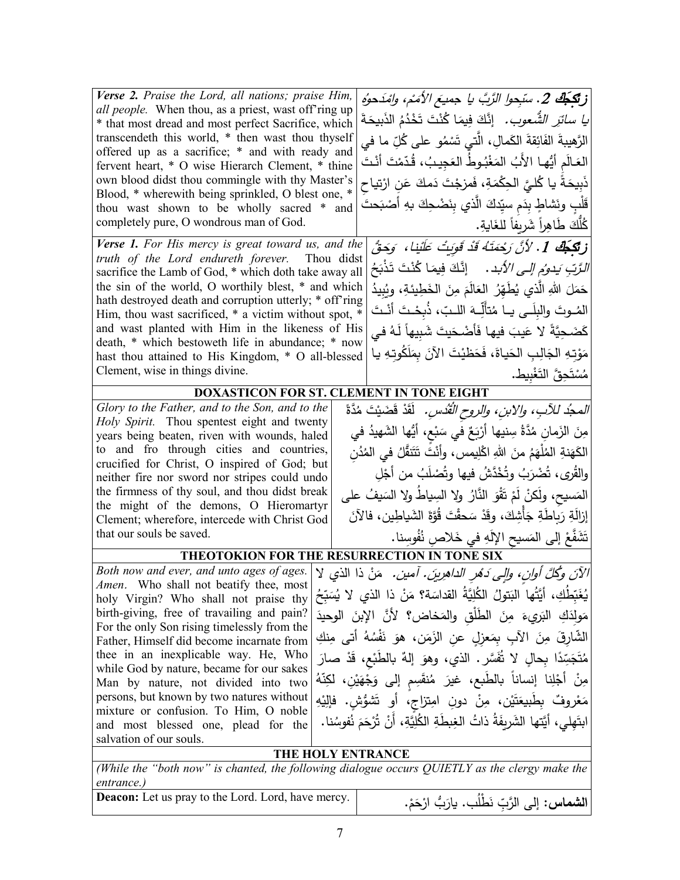|                                                                                                             | Verse 2. Praise the Lord, all nations; praise Him,<br>زِتِكَجِّكَ 2. سَبْحوا الرَّبَّ يا جميعَ الأَمَمْ، وامْدَحوُهِ |                                                                                                |
|-------------------------------------------------------------------------------------------------------------|----------------------------------------------------------------------------------------------------------------------|------------------------------------------------------------------------------------------------|
| all people. When thou, as a priest, wast off ring up<br>* that most dread and most perfect Sacrifice, which |                                                                                                                      | <i>يا سائرَ الشُعوب.</i> إنَّكَ فِيمَا كُنْتَ تَخْدُمُ الذَبيحَةَ                              |
| transcendeth this world, * then wast thou thyself                                                           |                                                                                                                      | الرَّهيبةَ الفَائِقةَ الكَمالِ، الَّتي تَسْمُو على كُلِّ ما في                                 |
| offered up as a sacrifice; * and with ready and                                                             |                                                                                                                      | العَـالَمِ أَيُّهـا الأَبُ المَغْبُـوطُ العَجيـبُ، قُدّمْتَ أنْـتَ                             |
| fervent heart, * O wise Hierarch Clement, * thine<br>own blood didst thou commingle with thy Master's       |                                                                                                                      | ذَبِيحَةً يا كُلِّيّ الْحِكْمَةِ، فَمزجْتَ دَمكَ عَن ارْتياح                                   |
| Blood, * wherewith being sprinkled, O blest one, *                                                          |                                                                                                                      |                                                                                                |
| thou wast shown to be wholly sacred * and                                                                   |                                                                                                                      | قَلْبِ ونَشاطٍ بِدَم سيّدكَ الّذي بِنَضْحِكَ بهِ أَصْبَحتَ                                     |
| completely pure, O wondrous man of God.                                                                     |                                                                                                                      | كُلِّكَ طَاهِراً شَرِيفاً للغَايةِ.                                                            |
| <b>Verse 1.</b> For His mercy is great toward us, and the<br>truth of the Lord endureth forever.            | Thou didst                                                                                                           | زِتْكِظِّهِ 1. لأَنَّ رَحْمَتَهُ قَدْ قَوِيتٌ عَلَيْنا، ۚ وَحَقُّ                              |
| sacrifice the Lamb of God, * which doth take away all                                                       |                                                                                                                      | <i>الرَّبِّ يَدو<sub>ُمُ</sub> إِلى الأَبَد.</i> إِنَّكَ فِيمَا كُنْتَ تَذْبَحُ                |
| the sin of the world, O worthily blest, * and which                                                         |                                                                                                                      | حَمَلَ اللهِ الَّذي يُطَهِّرُ العَالَمَ مِنَ الخَطِيئةِ، ويُبيدُ                               |
| hath destroyed death and corruption utterly; * off'ring                                                     |                                                                                                                      | المُــوتَ والبلَــى يــا مُتألِّــهَ اللــبّ، ذُبحْـتَ أنْـتَ                                  |
| Him, thou wast sacrificed, * a victim without spot, *<br>and wast planted with Him in the likeness of His   |                                                                                                                      |                                                                                                |
| death, * which bestoweth life in abundance; * now                                                           |                                                                                                                      | كَضَحِيَّةً لا عَيبَ فيها فَأَضْحَيتَ شَبِيهاً لَهُ في                                         |
| hast thou attained to His Kingdom, * O all-blessed                                                          |                                                                                                                      | مَوْتِهِ الجَالِبِ الحَياةَ، فَحَظَيْتَ الآنَ بِمَلَكُوتِهِ يا                                 |
| Clement, wise in things divine.                                                                             |                                                                                                                      | مُسْتَحِقَّ التَغْبِيط.                                                                        |
|                                                                                                             |                                                                                                                      | <b>DOXASTICON FOR ST. CLEMENT IN TONE EIGHT</b>                                                |
| Glory to the Father, and to the Son, and to the<br>Holy Spirit. Thou spentest eight and twenty              |                                                                                                                      | المجدُ للآبِ، والابنِ، والروحِ القُدْسِ.  لَقَدْ قَضَيْتَ مُدَّةً                              |
| years being beaten, riven with wounds, haled                                                                |                                                                                                                      | مِنَ الزَمانِ مُدَّةُ سِنيها أَرْبَعٌ في سَبْعٍ، أَيُّها الشَهيدُ في                           |
| to and fro through cities and countries,                                                                    |                                                                                                                      | الكَهَنةِ المُلْهَمُ منَ اللهِ اكْلِيمس، وأَنْتَ تَتَنَقَّلُ في المُدُن                        |
| crucified for Christ, O inspired of God; but                                                                |                                                                                                                      |                                                                                                |
| neither fire nor sword nor stripes could undo                                                               |                                                                                                                      | والقُرى، تُضْرَبُ وتُخْدَّشُ فيها وتُصْلَبُ من أَجْلِ                                          |
| the firmness of thy soul, and thou didst break                                                              |                                                                                                                      | المَسيح، ولَكنْ لَمْ تَقْوَ النَّارُ ولا السِياطُ ولا السَيفُ على                              |
| the might of the demons, O Hieromartyr<br>Clement; wherefore, intercede with Christ God                     |                                                                                                                      | إزالَةِ رَبِاطَةِ جَأْشِكَ، وقَدْ سَحقْتَ قُوَّةَ الشَياطِينِ، فالآنَ                          |
| that our souls be saved.                                                                                    |                                                                                                                      | تَثَنَفَّعْ إلى المَسيح الإِلَهِ في خَلاصِ نُفُوسِنا.                                          |
|                                                                                                             |                                                                                                                      | <b>THEOTOKION FOR THE RESURRECTION IN TONE SIX</b>                                             |
| Both now and ever, and unto ages of ages.                                                                   |                                                                                                                      | الآنَ وكُلَّ أُولِن، وإلى دَمُرِ الداهِرِينَ. آمين. ۚ مَنْ ذا الذي لا                          |
| Amen. Who shall not beatify thee, most                                                                      |                                                                                                                      |                                                                                                |
| holy Virgin? Who shall not praise thy                                                                       |                                                                                                                      | يُغَبِّطُكِ، أَيَّتُها البَتولُ الكُلِيَّةُ القداسَة؟ مَنْ ذا الذي لا يُسَبِّحُ                |
| birth-giving, free of travailing and pain?                                                                  |                                                                                                                      | مَولِدَكِ البَرِيءَ مِنَ الطَّلْقِ والمَخاضِ؟ لأنَّ الإِبنَ الوحيدَ                            |
| For the only Son rising timelessly from the<br>Father, Himself did become incarnate from                    |                                                                                                                      | الشَّارِقَ مِنَ الآبِ بمَعزلِ عن الزَمَنِ، هوَ نَفْسُهُ أَتي مِنكِ                             |
| thee in an inexplicable way. He, Who                                                                        |                                                                                                                      | مُتَجَسِّدًا بِحالٍ لا تُفَسَّر . الذي، وهوَ إلهٌ بالطَّبْع، قَدْ صارَ                         |
| while God by nature, became for our sakes                                                                   |                                                                                                                      | مِنْ أَجْلِنا إنساناً بالطَّبع، غيرَ مُنقَسِمٍ إلى وَجْهَيْنِ، لكِنّهُ                         |
| Man by nature, not divided into two                                                                         |                                                                                                                      |                                                                                                |
| persons, but known by two natures without<br>mixture or confusion. To Him, O noble                          |                                                                                                                      | مَعْروفٌ بِطَبِيعَتَيْن، مِنْ دونِ امِتزاج، أو تَشوُش. فإلِيْهِ                                |
| and most blessed one, plead for the                                                                         |                                                                                                                      | ابِتَهلي، أَيَّتها الشَّرِيفَةُ ذاتُ الْغِبطَةِ الطُّلِيَّةِ، أَنْ تُرْحَمَ نُفوسُنا.          |
| salvation of our souls.                                                                                     |                                                                                                                      |                                                                                                |
|                                                                                                             |                                                                                                                      | THE HOLY ENTRANCE                                                                              |
| entrance.)                                                                                                  |                                                                                                                      | (While the "both now" is chanted, the following dialogue occurs QUIETLY as the clergy make the |
| <b>Deacon:</b> Let us pray to the Lord. Lord, have mercy.                                                   |                                                                                                                      |                                                                                                |
|                                                                                                             |                                                                                                                      | ا <b>لشماس:</b> إلى الرَّبِّ نَطْلُبٍ. يارَبُّ ارْحَمْ.                                        |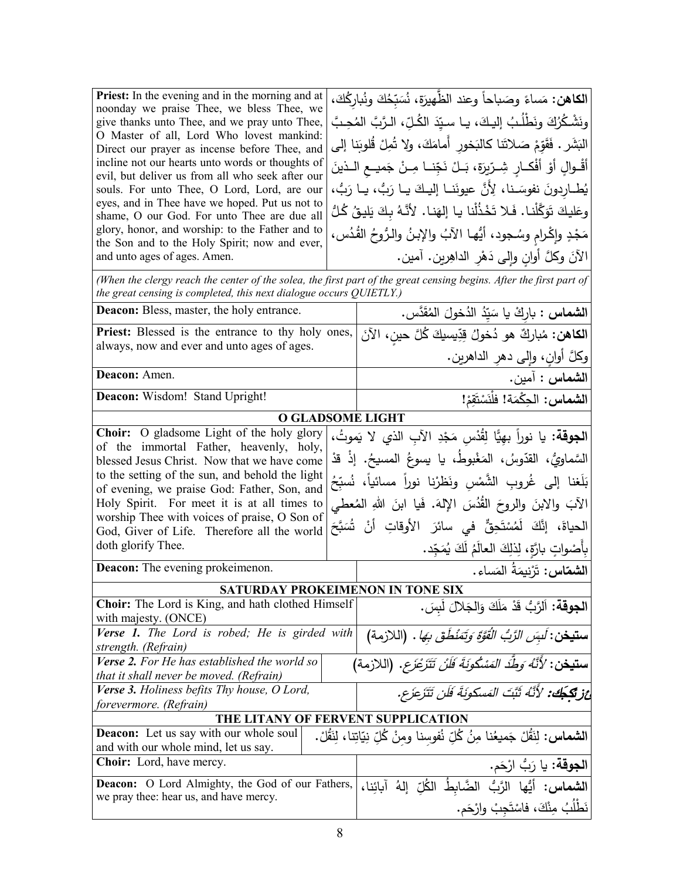| <b>Priest:</b> In the evening and in the morning and at                                              |                                                               | <b>الكاهن:</b> مَساءً وصَباحاً وعند الظّهيرَة، نُسَبّحُكَ ونُباركُكَ،                                               |  |  |  |
|------------------------------------------------------------------------------------------------------|---------------------------------------------------------------|---------------------------------------------------------------------------------------------------------------------|--|--|--|
| noonday we praise Thee, we bless Thee, we                                                            |                                                               |                                                                                                                     |  |  |  |
| give thanks unto Thee, and we pray unto Thee,                                                        |                                                               | ونَشْكُرُكَ ونَطْلُبُ إليكَ، يـا سـيّدَ الكُـلِّ، الـرّبَّ المُحِـبَّ                                               |  |  |  |
| O Master of all, Lord Who lovest mankind:<br>Direct our prayer as incense before Thee, and           |                                                               | البَشَرِ . فَقَوّمْ صَلاتَنا كالبَخورِ ۖ أَمامَكَ، ولا تُمِلْ قُلوبَنا إلى                                          |  |  |  |
| incline not our hearts unto words or thoughts of<br>evil, but deliver us from all who seek after our |                                                               | أَقْـوالٍ أَوْ أَفْكـارٍ شِـرّيرَةٍ، بَــلْ نَجِّنــا مِــنْ جَميــع الــذينَ                                       |  |  |  |
| souls. For unto Thee, O Lord, Lord, are our                                                          |                                                               | يُطــاردونَ نفوسَــنا، لِأَنَّ عيونَنــا إليــكَ يــا رَبُّ، يــا رَبُّ،                                            |  |  |  |
| eyes, and in Thee have we hoped. Put us not to                                                       |                                                               | وعَليكَ تَوَكَّلْنا. فَلا تَخْذُلْنا يا إلهَنا. لأنَّهُ بِكَ يَليقُ كُلُّ                                           |  |  |  |
| shame, O our God. For unto Thee are due all<br>glory, honor, and worship: to the Father and to       |                                                               |                                                                                                                     |  |  |  |
| the Son and to the Holy Spirit; now and ever,                                                        |                                                               | مَجْدٍ وإكْرام وسُجود، أَيُّها الآبُ والإبنُ والرُوحُ القُدُس،                                                      |  |  |  |
| and unto ages of ages. Amen.                                                                         |                                                               | الآنَ وكلَّ أُوانٍ وإِلى دَهْرِ الداهِرين. آمين.                                                                    |  |  |  |
| the great censing is completed, this next dialogue occurs QUIETLY.)                                  |                                                               | (When the clergy reach the center of the solea, the first part of the great censing begins. After the first part of |  |  |  |
| <b>Deacon:</b> Bless, master, the holy entrance.                                                     |                                                               | الشماس : باركْ يا سَيّدُ الدُخولَ المُقَدَّس.                                                                       |  |  |  |
| Priest: Blessed is the entrance to thy holy ones,                                                    |                                                               | ا <b>لكاهن:</b> مُباركٌ هو دُخولُ قِدِّيسيكَ كُلَّ حين، الآنَ                                                       |  |  |  |
| always, now and ever and unto ages of ages.                                                          |                                                               | وكلَّ أوان، وإِلَى دهر الداهرين.                                                                                    |  |  |  |
| Deacon: Amen.                                                                                        |                                                               | ا <b>لشماس :</b> آمين.                                                                                              |  |  |  |
| Deacon: Wisdom! Stand Upright!                                                                       |                                                               | ا <b>لشماس:</b> الحكْمَة! فلْنَسْتَقِمْ!                                                                            |  |  |  |
| <b>O GLADSOME LIGHT</b>                                                                              |                                                               |                                                                                                                     |  |  |  |
| Choir: O gladsome Light of the holy glory                                                            |                                                               | ا <b>لجوقة:</b> يا نوراً بهِيًّا لِقُدْسِ مَجْدِ الآبِ الذي لا يَموتُ،                                              |  |  |  |
| of the immortal Father, heavenly, holy,                                                              |                                                               |                                                                                                                     |  |  |  |
| blessed Jesus Christ. Now that we have come                                                          |                                                               | السَّماويُّ، القدّوسُ، المَغْبوطُ، يا يسوعُ المسيحُ. إذْ قدْ                                                        |  |  |  |
| to the setting of the sun, and behold the light<br>of evening, we praise God: Father, Son, and       | بَلَغنا إِلى غُروبِ الشَّمْسِ ونَظرْنا نوراً مسائياً، نُسبّحُ |                                                                                                                     |  |  |  |
| Holy Spirit. For meet it is at all times to                                                          |                                                               | الآبَ والابنَ والروحَ القُدُسَ الإلهَ. فَيا ابنَ اللهِ المُعطي                                                      |  |  |  |
| worship Thee with voices of praise, O Son of<br>God, Giver of Life. Therefore all the world          |                                                               | الحياةَ، إنَّكَ لَمُسْتَحِقٌّ في سائرَ الأوقاتِ أنْ شُبَّحَ                                                         |  |  |  |
| doth glorify Thee.                                                                                   |                                                               | بِأَصْواتٍ بارَّةٍ، لِذلِكَ العالَمُ لَكَ يُمَجِّد.                                                                 |  |  |  |
| <b>Deacon:</b> The evening prokeimenon.                                                              |                                                               | ا <b>لشمّاس:</b> تَرْنِيمَةُ المَساء.                                                                               |  |  |  |
|                                                                                                      |                                                               |                                                                                                                     |  |  |  |
| SATURDAY PROKEIMENON IN TONE SIX<br>Choir: The Lord is King, and hath clothed Himself                |                                                               |                                                                                                                     |  |  |  |
| with majesty. (ONCE)                                                                                 |                                                               | الجوقة: اَلرَّبُّ قَدْ مَلَكَ وَالجَلالَ لَبِسَ.                                                                    |  |  |  |
| Verse 1. The Lord is robed; He is girded with                                                        |                                                               | <b>ستيخن:</b> لَب <i>ِسَ الرَّبُّ الْقُوَّةِ وَتَمَنْطُقَ بِهَا</i> .  (اللازمة)                                    |  |  |  |
| strength. (Refrain)                                                                                  |                                                               |                                                                                                                     |  |  |  |
| <b>Verse 2.</b> For He has established the world so                                                  |                                                               | <b>ستيخن</b> : <i>لأَنَّهُ وَطَّدَ المَسْكُونَةَ فَلَنْ تَتَزَعْزَع</i> . (اللازمة)                                 |  |  |  |
| that it shall never be moved. (Refrain)                                                              |                                                               |                                                                                                                     |  |  |  |
| Verse 3. Holiness befits Thy house, O Lord,<br>forevermore. (Refrain)                                |                                                               | ئز تَكَجَك: لأَنَّهُ ثَبَّتَ المَسكونَةَ فَلَن تَتَزَعَزَع.                                                         |  |  |  |
| THE LITANY OF FERVENT SUPPLICATION                                                                   |                                                               |                                                                                                                     |  |  |  |
| Deacon: Let us say with our whole soul<br>and with our whole mind, let us say.                       |                                                               | ا <b>لشماس:</b> لِنَقَلْ جَميعُنا مِنُ كُلِّ نُفوسنا ومنْ كُلِّ نِيّاتِنا، لِنَقَلْ.                                |  |  |  |
| <b>Choir:</b> Lord, have mercy.                                                                      |                                                               | ا <b>لجوقة:</b> يا رَبُّ ارْحَم.                                                                                    |  |  |  |
| Deacon: O Lord Almighty, the God of our Fathers,                                                     |                                                               | <b>الشماس:</b> أَيُّها الرَّبُّ الضَّابطُ الكُلِّ إِلهُ آبائِنا،                                                    |  |  |  |
| we pray thee: hear us, and have mercy.                                                               |                                                               | نَطْلُبُ مِنْكَ، فاسْتَجِبْ وارْحَم.                                                                                |  |  |  |
|                                                                                                      |                                                               |                                                                                                                     |  |  |  |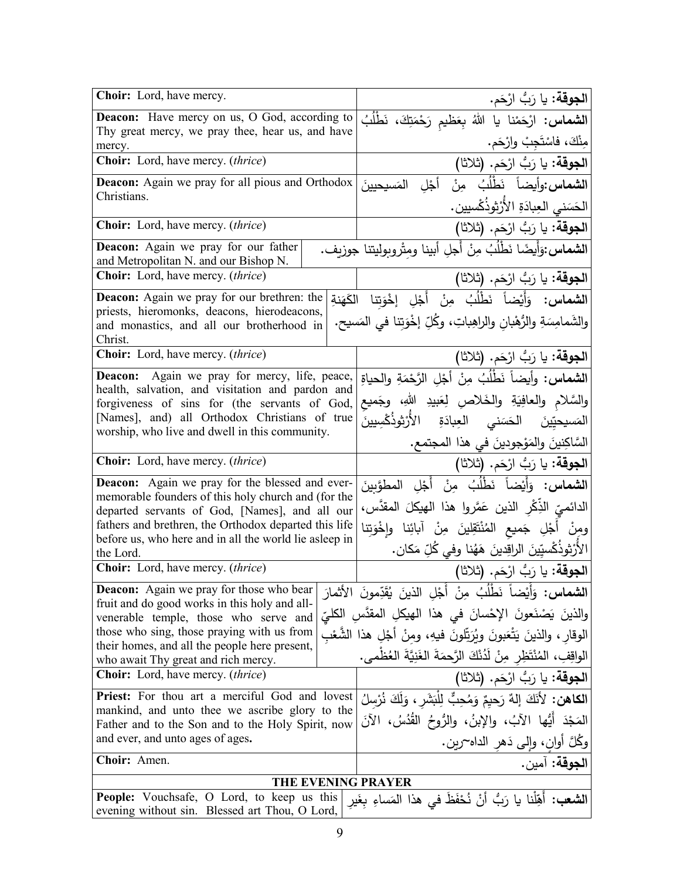| Choir: Lord, have mercy.                                                                                 |  | ا <b>لجوقة:</b> يا رَبُّ ارْحَم.                                             |  |  |  |
|----------------------------------------------------------------------------------------------------------|--|------------------------------------------------------------------------------|--|--|--|
| <b>Deacon:</b> Have mercy on us, O God, according to<br>Thy great mercy, we pray thee, hear us, and have |  | ا <b>لشماس:</b> ارْحَمْنا يا اللهُ بِعَظيمِ رَحْمَتِكَ، نَطْلُبُ             |  |  |  |
| mercy.                                                                                                   |  | مِنْكَ، فاسْتَجِبْ وارْحَم.                                                  |  |  |  |
| Choir: Lord, have mercy. (thrice)                                                                        |  | ا <b>لجوقة:</b> يا رَبُّ ارْحَم. (ثلاثا)                                     |  |  |  |
| <b>Deacon:</b> Again we pray for all pious and Orthodox<br>Christians.                                   |  | ا <b>لشماس:</b> وأيضاً نَطْلُبُ مِنْ أَجْل المَسيحيينَ                       |  |  |  |
|                                                                                                          |  | الحَسَنى العِبادَةِ الأَرْثوذُكْسيين.                                        |  |  |  |
| Choir: Lord, have mercy. (thrice)                                                                        |  | الجوقة: يا رَبُّ ارْحَم. (ثلاثا)                                             |  |  |  |
| Deacon: Again we pray for our father<br>and Metropolitan N. and our Bishop N.                            |  | ا <b>لشماس:</b> وَأَيضًا نَطْلُبُ مِنْ أَجلِ أبينا ومِتْروبوليتنا جوزيف.     |  |  |  |
| <b>Choir:</b> Lord, have mercy. <i>(thrice)</i>                                                          |  | ا <b>لجوقة:</b> يا رَبُّ ارْحَم. (ثلاثا)                                     |  |  |  |
| Deacon: Again we pray for our brethren: the<br>priests, hieromonks, deacons, hierodeacons,               |  | <b>الشماس:</b> وَأَيْضاً نَطْلُبُ مِنْ أَجْلِ إِخْوَتِنا الْكَهَنةِ          |  |  |  |
| and monastics, and all our brotherhood in                                                                |  | والشَمامِسَةِ والرُّهْبانِ والراهِباتِ، وكُلِّ إخْوَتِنا في المَسيحِ.        |  |  |  |
| Christ.<br>Choir: Lord, have mercy. (thrice)                                                             |  |                                                                              |  |  |  |
| Deacon: Again we pray for mercy, life, peace,                                                            |  | ا <b>لجوقة:</b> يا رَبُّ ارْحَم. (ثلاثا)                                     |  |  |  |
| health, salvation, and visitation and pardon and                                                         |  | ا <b>لشماس:</b> وأيضاً نَطْلُبُ مِنْ أَجْلِ الرَّحْمَةِ والحياةِ             |  |  |  |
| forgiveness of sins for (the servants of God,<br>[Names], and) all Orthodox Christians of true           |  | والسَّلامِ والعافِيَةِ والخَلاصِ لِعَبيدِ اللهِ، وجَميع                      |  |  |  |
| worship, who live and dwell in this community.                                                           |  | المَسيحيِّينَ الحَسَنى العِبادَةِ الأَرْثِوذُكْسِيينَ                        |  |  |  |
| <b>Choir:</b> Lord, have mercy. (thrice)                                                                 |  | السَّاكِنينَ والمَوْجودينَ في هذا المجتمع.                                   |  |  |  |
| <b>Deacon:</b> Again we pray for the blessed and ever-                                                   |  | ا <b>لجوقة:</b> يا رَبُّ ارْحَم. (ثلاثا)                                     |  |  |  |
| memorable founders of this holy church and (for the                                                      |  | ا <b>لشماس:</b> وَأَيْضاً نَطْلُبُ مِنْ أَجْلِ المطوَّبينَ                   |  |  |  |
| departed servants of God, [Names], and all our<br>fathers and brethren, the Orthodox departed this life  |  | الدائميّ الذِّكْر الذين عَمَّروا هذا الهيكلَ المقدَّس،                       |  |  |  |
| before us, who here and in all the world lie asleep in                                                   |  | ومِنْ أَجْلِ جَميع المُنْتَقِلينَ مِنْ آبائِنا وإِخْوَتِنا                   |  |  |  |
| the Lord.<br>Choir: Lord, have mercy. (thrice)                                                           |  | الأُرْثوذُكْسيِّينَ الراقِدينَ هَهُنا وفي كُلِّ مَكان.                       |  |  |  |
|                                                                                                          |  | ا <b>لجوقة:</b> يا رَبُّ ارْحَم. (ثلاثا)                                     |  |  |  |
| <b>Deacon:</b> Again we pray for those who bear<br>fruit and do good works in this holy and all-         |  | ا <b>لشماس:</b> وَأَيْضاً نَطْلُبُ مِنْ أَجْلِ الذينَ يُقَدِّمونَ الأَثمارَ  |  |  |  |
| venerable temple, those who serve and                                                                    |  | والذينَ يَصْنَعونَ الإحْسانَ في هذا الهيكلِ المقدَّسِ الكليِّ                |  |  |  |
| those who sing, those praying with us from<br>their homes, and all the people here present,              |  | الوقار ، والذينَ يَتْعَبونَ ويُرَتِّلونَ فيهِ، ومِنْ أَجْلِ هذا الشَّعْبِ    |  |  |  |
| who await Thy great and rich mercy.                                                                      |  | الواقِفِ، المُنْتَظِرِ مِنْ لَدُنْكَ الرَّحمَةَ الغَنِيَّةَ العُظْمي.        |  |  |  |
| <b>Choir:</b> Lord, have mercy. (thrice)                                                                 |  | ا <b>لجوقة:</b> يا رَبُّ ارْحَم. (ثلاثا)                                     |  |  |  |
| <b>Priest:</b> For thou art a merciful God and lovest<br>mankind, and unto thee we ascribe glory to the  |  | ا <b>لكاهن:</b> لأَنَكَ إِلهٌ رَحِيمٌ وَمُحِبٌّ لِلْبَشَرِ ، وَلَكَ نُرْسِلُ |  |  |  |
| Father and to the Son and to the Holy Spirit, now                                                        |  | المَجْدَ أَيُّها الآبُ، والإِبنُ، والرُّوحُ القُدُسُ، الآنَ                  |  |  |  |
| and ever, and unto ages of ages.                                                                         |  | وكُلَّ أُواِن، وإِلَى دَهْرِ الداه~ريِن.<br>ا <b>لجوقة:</b> آمين.            |  |  |  |
| Choir: Amen.                                                                                             |  |                                                                              |  |  |  |
|                                                                                                          |  | <b>THE EVENING PRAYER</b>                                                    |  |  |  |
| People: Vouchsafe, O Lord, to keep us this<br>evening without sin. Blessed art Thou, O Lord,             |  | ا <b>لشعب:</b> أَهِّلْنا يا رَبُّ أَنْ نُحْفَظَ في هذا المَساءِ بغَير        |  |  |  |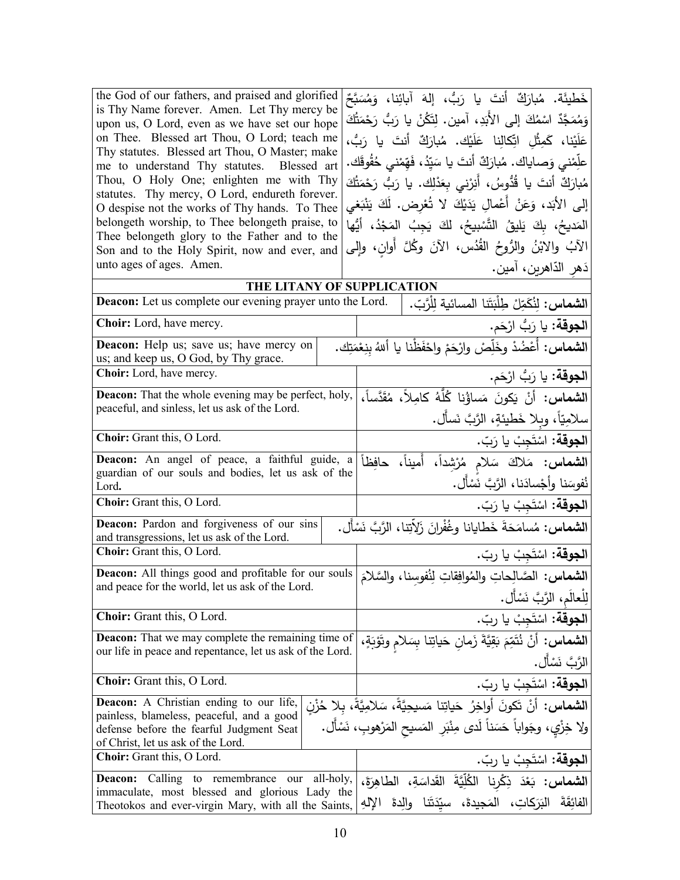|                                                   | THE I ITANY OF SHDDI ICATION                                           |
|---------------------------------------------------|------------------------------------------------------------------------|
| unto ages of ages. Amen.                          | دَهر الدّاهرين، آمين.                                                  |
| Son and to the Holy Spirit, now and ever, and     | الآبُ والابْنُ والرُّوحُ القُدُسِ، الآنَ وكُلَّ أوانٍ، وإلى            |
| Thee belongeth glory to the Father and to the     |                                                                        |
| belongeth worship, to Thee belongeth praise, to   | المَديحُ، بكَ يَليقُ التَّسْبِيحُ، لكَ يَجِبُ المَجْدُ، أَيُّها        |
| O despise not the works of Thy hands. To Thee     | إلى الأبَد، وَعَنْ أَعْمالِ يَدَيْكَ لا تُعْرِض. لَكَ يَنْبَغي         |
| statutes. Thy mercy, O Lord, endureth forever.    |                                                                        |
| Thou, O Holy One; enlighten me with Thy           | مُبارَكٌ أنتَ يا قُدُّوسُ، أُنِرْني بعَدْلِك. يا رَبُّ رَحْمَتُكَ      |
| me to understand Thy statutes. Blessed art        | علِّمْني وَصاياك. مُبارَكٌ أنتَ يا سَيّدُ، فَهّمْني حُقُوقَك.          |
| Thy statutes. Blessed art Thou, O Master; make    |                                                                        |
| on Thee. Blessed art Thou, O Lord; teach me       | عَلَيْنا، كَمِثْلِ اتِّكالنا عَلَيْك. مُبارَكٌ أنتَ يا رَبُّ،          |
| upon us, O Lord, even as we have set our hope     | وَمُمَجَّدٌ اسْمُكَ إِلَى الأَبَدِ، آمين. لِتَكُنْ يا رَبُّ رَحْمَتُكَ |
| is Thy Name forever. Amen. Let Thy mercy be       |                                                                        |
| the God of our fathers, and praised and glorified | خَطْيئَة. مُبارَكٌ أَنتَ يا رَبُّ، إِلهَ آبائِنا، وَمُسَبَّحٌ          |
|                                                   |                                                                        |

| THE LITANY OF SUPPLICATION                                                                                                                                             |  |                                                                                           |                                                                                                                                                                |  |  |                                                             |                                        |
|------------------------------------------------------------------------------------------------------------------------------------------------------------------------|--|-------------------------------------------------------------------------------------------|----------------------------------------------------------------------------------------------------------------------------------------------------------------|--|--|-------------------------------------------------------------|----------------------------------------|
| Deacon: Let us complete our evening prayer unto the Lord.                                                                                                              |  |                                                                                           |                                                                                                                                                                |  |  | ا <b>لشماس:</b> لِنُكَمِّلْ طِلْبَتَنا المسائية لِلْرَّبِّ. |                                        |
| Choir: Lord, have mercy.                                                                                                                                               |  |                                                                                           |                                                                                                                                                                |  |  |                                                             | ا <b>لجوقة:</b> يا رَبُّ ارْحَم.       |
| Deacon: Help us; save us; have mercy on<br>us; and keep us, O God, by Thy grace.                                                                                       |  |                                                                                           | ا <b>لشماس:</b> أَعْضُدْ وخَلِّصْ وارْحَمْ واحْفَظْنا يا أللهُ بِنِعْمَتِك.                                                                                    |  |  |                                                             |                                        |
| Choir: Lord, have mercy.                                                                                                                                               |  |                                                                                           |                                                                                                                                                                |  |  |                                                             | ا <b>لجوقة:</b> يا رَبُّ ارْحَم.       |
| <b>Deacon:</b> That the whole evening may be perfect, holy,<br>peaceful, and sinless, let us ask of the Lord.                                                          |  |                                                                                           | ا <b>لشماس:</b> أَنْ يَكونَ مَساؤُنِا كُلُّهُ كامِلاً، مُقَدَّساً،<br>سلامِيّاً، وبِلا خَطيئةٍ، الرَّبَّ نَسأَل.                                               |  |  |                                                             |                                        |
| Choir: Grant this, O Lord.                                                                                                                                             |  |                                                                                           |                                                                                                                                                                |  |  |                                                             | ا <b>لجوقة:</b> اسْتَجِبْ يا رَبّ.     |
| Deacon: An angel of peace, a faithful guide, a<br>guardian of our souls and bodies, let us ask of the<br>Lord.                                                         |  |                                                                                           | الشماس: مَلاكَ سَلام مُرْشِداً، أَميناً، حافِظاً                                                                                                               |  |  |                                                             | نُفوسَنا وأجْسادَنا، الرَّبَّ نَسْأَل. |
| Choir: Grant this, O Lord.                                                                                                                                             |  | ا <b>لجوقة:</b> اسْتَجِبْ يا رَبّ.                                                        |                                                                                                                                                                |  |  |                                                             |                                        |
| Deacon: Pardon and forgiveness of our sins<br>and transgressions, let us ask of the Lord.                                                                              |  |                                                                                           | ا <b>لشماس:</b> مُسامَحَةَ خَطايانا وغُفْرانَ زَلاَتِنا، الرَّبَّ نَسْأَل.                                                                                     |  |  |                                                             |                                        |
| Choir: Grant this, O Lord.                                                                                                                                             |  | ا <b>لجوقة:</b> اسْتَجِبْ يا ربّ.                                                         |                                                                                                                                                                |  |  |                                                             |                                        |
| Deacon: All things good and profitable for our souls<br>and peace for the world, let us ask of the Lord.                                                               |  |                                                                                           | الشماس: الصَّالِحاتِ والمُوافِقاتِ لِنُفوسنا، والسَّلامَ                                                                                                       |  |  |                                                             | لِلْعالَم، الرَّبَّ نَسْأَلْ.          |
| Choir: Grant this, O Lord.                                                                                                                                             |  |                                                                                           |                                                                                                                                                                |  |  |                                                             | ا <b>لجوقة:</b> اسْتَجِبْ يا ربّ.      |
| <b>Deacon:</b> That we may complete the remaining time of<br>our life in peace and repentance, let us ask of the Lord.                                                 |  | الشماس: أَنْ نُتَمِّمَ بَقِيَّةَ زَمانِ حَياتِنا بِسَلامِ وتَوْبَةٍ،<br>الرَّبَّ نَسْأَل. |                                                                                                                                                                |  |  |                                                             |                                        |
| Choir: Grant this, O Lord.                                                                                                                                             |  |                                                                                           |                                                                                                                                                                |  |  |                                                             | ا <b>لجوقة:</b> اسْتَجِبْ يا ربّ.      |
| Deacon: A Christian ending to our life,<br>painless, blameless, peaceful, and a good<br>defense before the fearful Judgment Seat<br>of Christ, let us ask of the Lord. |  |                                                                                           | ا <b>لشماس:</b> أنْ تَكونَ أُواخِرُ حَياتِنا مَسيحِيَّةً، سَلامِيَّةً، بِلا حُزْنِ<br>ولا خِزْيٍ، وجَواباً حَسَناً لَدى مِنْبَرِ  المَسيح المَرْهوبِ، نَسْأَل. |  |  |                                                             |                                        |
| Choir: Grant this, O Lord.                                                                                                                                             |  |                                                                                           |                                                                                                                                                                |  |  |                                                             | ا <b>لجوقة:</b> اسْتَجِبْ يا ربّ.      |
| <b>Deacon:</b> Calling to remembrance our all-holy,<br>immaculate, most blessed and glorious Lady the<br>Theotokos and ever-virgin Mary, with all the Saints,          |  |                                                                                           | ا <b>لشماس:</b> بَعْدَ ذِكْرِنا الكُلِّيَّةَ القَداسَةِ، الطاهِرَةَ،<br>الفائِقَةَ البَرَكاتِ، المَجيدةَ، سيّدَتَنا والِدةَ الإِلهِ                            |  |  |                                                             |                                        |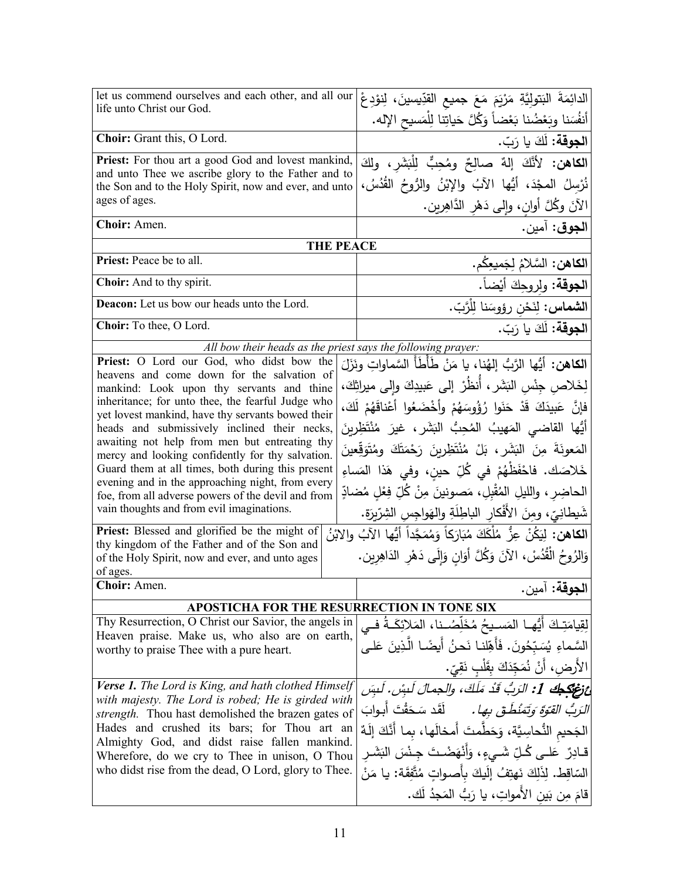| let us commend ourselves and each other, and all our                                                          | الدائِمَةَ البَتولِيَّةِ مَرْيَمَ مَعَ جميع القدِّيسينَ، لِنوْدِعْ                     |  |  |  |  |
|---------------------------------------------------------------------------------------------------------------|----------------------------------------------------------------------------------------|--|--|--|--|
| life unto Christ our God.                                                                                     | أَنفُسَنا وبَعْضُنا بَعْضاً وَكُلَّ حَياتِنا لِلْمَسيح الإله.                          |  |  |  |  |
| Choir: Grant this, O Lord.                                                                                    | الجوقة: لَكَ يا رَبّ.                                                                  |  |  |  |  |
| Priest: For thou art a good God and lovest mankind,                                                           | <b>الكاهن:</b> لأنَّكَ إلهٌ صالِحٌ ومُحِبٌّ لِلْبَشَرِ، ولكَ                           |  |  |  |  |
| and unto Thee we ascribe glory to the Father and to<br>the Son and to the Holy Spirit, now and ever, and unto | نُرْسِلُ المجْدَ، أَيُّها الآبُ والإِبْنُ والرُّوحُ القُدُسُ،                          |  |  |  |  |
| ages of ages.                                                                                                 | الآنَ وكُلَّ أُوانٍ، وإِلَى دَهْرِ الدَّاهِرِينِ.                                      |  |  |  |  |
| Choir: Amen.                                                                                                  | ا <b>لجوق</b> : آمين.                                                                  |  |  |  |  |
| <b>THE PEACE</b>                                                                                              |                                                                                        |  |  |  |  |
| Priest: Peace be to all.                                                                                      | ا <b>لكاهن:</b> السَّلامُ لِجَميعِكُم.                                                 |  |  |  |  |
| Choir: And to thy spirit.                                                                                     | ا <b>لجوقة</b> : ولروحِكَ أيْضاً.                                                      |  |  |  |  |
| Deacon: Let us bow our heads unto the Lord.                                                                   | <b>الشماس:</b> لِنَحْن رؤوسَنا لِلْرَّبّ.                                              |  |  |  |  |
| Choir: To thee, O Lord.                                                                                       | ا <b>لجوقة:</b> لَكَ يا رَبّ.                                                          |  |  |  |  |
| All bow their heads as the priest says the following prayer:                                                  |                                                                                        |  |  |  |  |
| Priest: O Lord our God, who didst bow the<br>heavens and come down for the salvation of                       | ا <b>لكاهن:</b> أَيُّها الرَّبُّ إلهُنا، يا مَنْ طَأَطَأُ السَّماواتِ ونَزَلَ          |  |  |  |  |
| mankind: Look upon thy servants and thine                                                                     | لِخَلاص جِنْس البَشَرِ ، أنظُرْ إلى عَبيدِكَ وإلى ميراثِكَ،                            |  |  |  |  |
| inheritance; for unto thee, the fearful Judge who<br>yet lovest mankind, have thy servants bowed their        | فإنَّ عَبِيدَكَ قَدْ حَنَوا رُؤُوسَهُمْ وأَخْضَعُوا أَعْناقَهُمْ لَكَ،                 |  |  |  |  |
| heads and submissively inclined their necks,                                                                  | أَيُّها القاضى المَهيبُ المُحِبُّ البَشَرِ ، غيرَ مُنْتَظِرِينَ                        |  |  |  |  |
| awaiting not help from men but entreating thy<br>mercy and looking confidently for thy salvation.             | الْمَعُونَةَ مِنَ الْبَشَرِ ، بَلْ مُنْتَظِرِينَ رَحْمَتَكَ وِمُتَوَقِّعِينَ           |  |  |  |  |
| Guard them at all times, both during this present                                                             | خَلاصَك. فاحْفَظْهُمْ في كُلِّ حين، وفي هَذا المَساءِ                                  |  |  |  |  |
| evening and in the approaching night, from every<br>foe, from all adverse powers of the devil and from        | الحاضِر ، والليلِ المُقْبلِ، مَصونينَ مِنْ كُلِّ فِعْلِ مُضادِّ                        |  |  |  |  |
| vain thoughts and from evil imaginations.                                                                     | شَيطانِيّ، ومنَ الأفْكارِ الباطِلَةِ والهَواجِسِ الشِرّيرَةِ.                          |  |  |  |  |
| Priest: Blessed and glorified be the might of                                                                 | ا <b>لكاهن:</b> لِيَكُنْ عِزُّ مُلْكَكَ مُبَارَكاً وَمُمَجَّداً أَيُّها الآبُ والابْنُ |  |  |  |  |
| thy kingdom of the Father and of the Son and<br>of the Holy Spirit, now and ever, and unto ages               | وَالرُوحُ الْقُدُسْ، الآنَ وَكُلَّ أَوَانٍ وَإِلَى دَهْرِ الدَاهِرِينِ.                |  |  |  |  |
| of ages.                                                                                                      |                                                                                        |  |  |  |  |
| Choir: Amen.                                                                                                  | ا <b>لجوقة:</b> آمين.                                                                  |  |  |  |  |
| <b>APOSTICHA FOR THE RESURRECTION IN TONE SIX</b>                                                             |                                                                                        |  |  |  |  |
| Thy Resurrection, O Christ our Savior, the angels in                                                          | لِقِيامَتِكَ أَيُّهِــا المَسـيحُ مُخَلِّصُــنا، المَلائِكَــةُ فــى                   |  |  |  |  |
| Heaven praise. Make us, who also are on earth,<br>worthy to praise Thee with a pure heart.                    | السَّماءِ يُسَبِّحُونَ. فَأَهِّلنا نَحنُ أَيضًا الَّذِينَ عَلـٰي                       |  |  |  |  |
|                                                                                                               | الأَرضِ، أَنْ نُمَجِّدَكَ بِقَلْبٍ نَقِيٍّ.                                            |  |  |  |  |
| Verse 1. The Lord is King, and hath clothed Himself                                                           | عْ زَعْ تَكُلِّكَ 1: الرَبُّ قَدْ مَلَكَ، والجمالَ لَبِسْ. لَبِسَ                      |  |  |  |  |
| with majesty. The Lord is robed; He is girded with<br>strength. Thou hast demolished the brazen gates of      | الدَبُّ القوَّةَ وَتَمْنُطُقَ بِها.<br>لَقَد سَحَقْتَ أَبـوابَ                         |  |  |  |  |
| Hades and crushed its bars; for Thou art an                                                                   | الجَحيم النُّحاسِيَّة، وَحَطِّمتَ أمخالَها، بِما أنَّكَ إلَهٌ                          |  |  |  |  |
| Almighty God, and didst raise fallen mankind.<br>Wherefore, do we cry to Thee in unison, O Thou               | قــادِرٌ ۚ عَلــِي كُـلِّ شَــيءٍ ، وَأَنْهَضْـتَ جِـنْسَ النِّشَـرِ                   |  |  |  |  |
| who didst rise from the dead, O Lord, glory to Thee.                                                          | السّاقِط. لِذَلِكَ نَهتِفُ إِلَيكَ بِأَصواتِ مُتَّفِقَة: يا مَنْ                       |  |  |  |  |
|                                                                                                               | قامَ مِن بَينِ الأمواتِ، يا رَبُّ المَجدُ لَك.                                         |  |  |  |  |
|                                                                                                               |                                                                                        |  |  |  |  |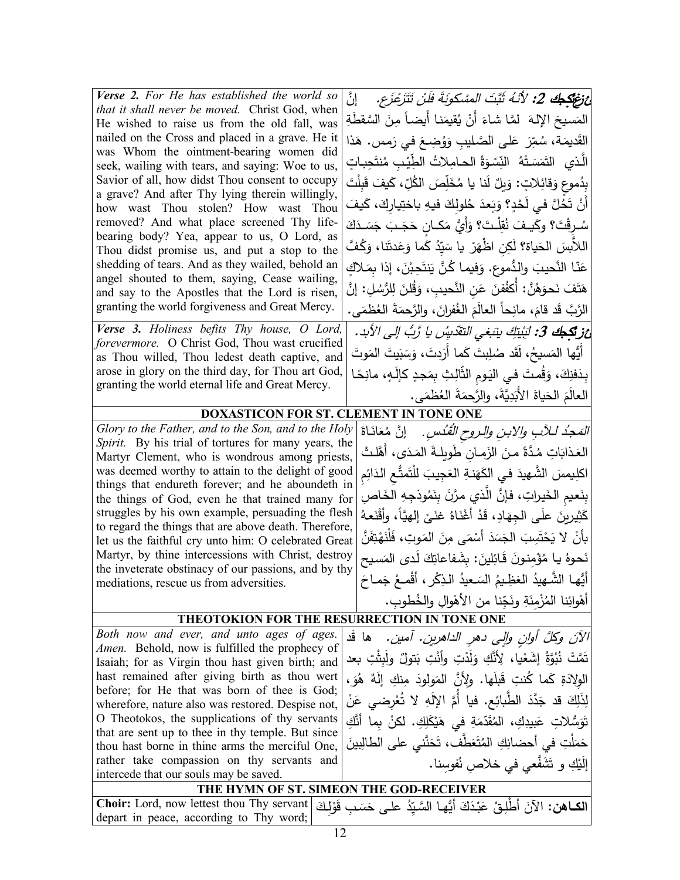| <b>Verse 2.</b> For He has established the world so                                                                                                            | عْ نِجْتَكِمِكَ 2: لأَنْهُ ثَبَّتَ المسْكونَةَ فَلَنْ تَتَزَعْزَع.<br>إِنَّ |  |
|----------------------------------------------------------------------------------------------------------------------------------------------------------------|-----------------------------------------------------------------------------|--|
| that it shall never be moved. Christ God, when<br>He wished to raise us from the old fall, was                                                                 | المَسيحَ الإِلهَ ۚ لمَّا شاءَ أَنْ يُقيمَنا أيضاً مِنَ السَّقطَةِ           |  |
| nailed on the Cross and placed in a grave. He it                                                                                                               | القَديمَة، سُمِّرَ  عَلى الصَّليبِ وَوُضِعَ في رَمس. هَذا                   |  |
| was Whom the ointment-bearing women did<br>seek, wailing with tears, and saying: Woe to us,                                                                    | الَّذي التَمَسَتْهُ النِّسْوَةُ الحـامِلاتُ الطِّيْبِ مُنتَحِبـاتٍ          |  |
| Savior of all, how didst Thou consent to occupy                                                                                                                | بِدُموعٍ وَقائِلاتٍ: وَيِلٌ لَنا يا مُخَلِّصَ الكُلِّ، كَيفَ قَبِلْتَ       |  |
| a grave? And after Thy lying therein willingly,                                                                                                                | أَنْ تَحُلَّ في لَحْدٍ؟ وَبَعدَ حُلولِكَ فيهِ باختِيارِكَ، كَيفَ            |  |
| how wast Thou stolen? How wast Thou<br>removed? And what place screened Thy life-                                                                              | سُـرِقْتَ؟ وكَيـفَ نُقِلْـتَ؟ وَأَيُّ مَكــانِ حَجَــبَ جَسَـدَكَ           |  |
| bearing body? Yea, appear to us, O Lord, as                                                                                                                    | اللاَّبِسَ الحَياة؟ لَكِن اظْهَرْ يا سَيّدُ كَما وَعَدتَنا، وَكُفَّ         |  |
| Thou didst promise us, and put a stop to the<br>shedding of tears. And as they wailed, behold an                                                               |                                                                             |  |
| angel shouted to them, saying, Cease wailing,                                                                                                                  | عَنّا النَّحيبَ والدُّموعِ. وَفيمـا كُنَّ يَنتَحِبْنَ، إذا بمَـلاكٍ         |  |
| and say to the Apostles that the Lord is risen,                                                                                                                | هَتَفَ نَحوَهُنَّ: أَكفُفنَ عَنِ النَّحيبِ، وَقُلنَ لِلرُّسُلِ: إِنَّ       |  |
| granting the world forgiveness and Great Mercy.                                                                                                                | الرَّبَّ قَد قامَ، مانِحاً العالَمَ الغُفرانَ، والرَّحمَةَ العُظمَى.        |  |
| Verse 3. Holiness befits Thy house, O Lord,<br>forevermore. O Christ God, Thou wast crucified                                                                  | ئز تَكِطِكَ 3: لَبُنِتِكَ بِنَبِغِي التَقَدِيِسُ يا رَّبُ إِلِي الأَبِدِ.   |  |
| as Thou willed, Thou ledest death captive, and                                                                                                                 | أَيُّها المَسيحُ، لَقَد صُلِبتَ كَما أَرَدتَ، وَسَبَيتَ المَوتَ             |  |
| arose in glory on the third day, for Thou art God,                                                                                                             | بِدَفنِكَ، وَقُمتَ فـى اليَومِ الثَّالِثِ بِمَجدٍ كالِّكٍ، مانِحًا          |  |
| granting the world eternal life and Great Mercy.                                                                                                               | العالَمَ الحَياةَ الأَبَدِيَّةَ، والرَّحمَةَ العُظمَى.                      |  |
| DOXASTICON FOR ST. CLEMENT IN TONE ONE                                                                                                                         |                                                                             |  |
| Glory to the Father, and to the Son, and to the Holy                                                                                                           |                                                                             |  |
| Spirit. By his trial of tortures for many years, the                                                                                                           | <i>المَجِدُ لـلآبِ والابنِ والروح القُدُسِ.</i> إنَّ مُعَانَـاةَ            |  |
|                                                                                                                                                                | العَذابَاتِ مُدَّةً منَ الزَمانِ طُويلةَ المَدَى، أَهَّلتْ                  |  |
| Martyr Clement, who is wondrous among priests,                                                                                                                 |                                                                             |  |
| was deemed worthy to attain to the delight of good<br>things that endureth forever; and he aboundeth in                                                        | اكلِيمسَ الشُّهيدَ في الكَهَنـةِ العَجِيبَ للْتَمتُّعِ الدَائِم             |  |
| the things of God, even he that trained many for                                                                                                               | بِنَعيم الخَيراتِ، فإنَّ الَّذي مرَّنَ بِنَمُوذجِهِ الخَاصِ                 |  |
| struggles by his own example, persuading the flesh<br>to regard the things that are above death. Therefore,                                                    | كَثِيرِينَ علَى الْجِهَادِ، قَدْ أَغْنَاهُ غَنَىً إِلهيَّاً، وأَقْنَعهُ     |  |
| let us the faithful cry unto him: O celebrated Great                                                                                                           | بِأَنْ لا يَحْتَسِبَ الْجَسَدَ أَسْمَى مِنَ الْمَوتِ، فَلَنَهْتِفَنَّ       |  |
| Martyr, by thine intercessions with Christ, destroy                                                                                                            | نَحوهُ يا مُؤْمِنونَ قَائِلينَ: بِشَفاعاتِكَ لَدى المَسيح                   |  |
| the inveterate obstinacy of our passions, and by thy<br>mediations, rescue us from adversities.                                                                | أَيُّها الشُّهيدُ العَظِيمُ السَعيدُ الَّذِكْرِ ، أَقْمَعْ جَمـاحَ          |  |
|                                                                                                                                                                | اهْوائِنا المُزْمِنَةِ ونَجِّنا من الأهْوالِ والخُطوبِ.                     |  |
|                                                                                                                                                                |                                                                             |  |
| <b>THEOTOKION FOR THE RESURRECTION IN TONE ONE</b>                                                                                                             |                                                                             |  |
| Both now and ever, and unto ages of ages.                                                                                                                      | ها قَد<br>الآنَ وكلَّ أوانِ وإلى دهرِ الداهرينِ. آمينِ.                     |  |
| <i>Amen.</i> Behold, now is fulfilled the prophecy of<br>Isaiah; for as Virgin thou hast given birth; and                                                      | تَمَّتْ نُبُوَّةُ إشَعْيا، لِأَنَّكِ وَلَدْتِ وأَنْتِ بَتولٌ ولَبِثْتِ بعد  |  |
| hast remained after giving birth as thou wert                                                                                                                  | الولِادَةِ كَما كُنتِ قَبِلَها. ولِأَنَّ المَولِودَ مِنكِ إِلَهٌ هُوَ،      |  |
| before; for He that was born of thee is God;                                                                                                                   |                                                                             |  |
| wherefore, nature also was restored. Despise not,                                                                                                              | لِذَلِكَ قد جَدَّدَ الطَّبائِعِ. فيا أَمَّ الإِلَهِ لا تُعْرِضي عَنْ        |  |
| O Theotokos, the supplications of thy servants                                                                                                                 | تَوَسُّلاتِ عَبِيدِكِ، الْمُقَدَّمَةِ في هَيْكَلِكِ. لكنْ بما أَنَّكِ       |  |
| that are sent up to thee in thy temple. But since                                                                                                              |                                                                             |  |
| thou hast borne in thine arms the merciful One,                                                                                                                | حَمَلْتِ في أَحضانِكِ الْمُتَعَطِّف، تَحَنَّني على الطالِبينَ               |  |
| rather take compassion on thy servants and                                                                                                                     | إلَيْكِ و تَشَفَّعي في خلاصٍ نُفوسِنا.                                      |  |
| intercede that our souls may be saved.                                                                                                                         |                                                                             |  |
| THE HYMN OF ST. SIMEON THE GOD-RECEIVER<br>الكـاهن: الآنَ أُطْلِقْ عَبْدَكَ أَيُّها السَّيّدُ علـى حَسَبٍ قَوْلِكَ   Choir: Lord, now lettest thou Thy servant |                                                                             |  |
|                                                                                                                                                                |                                                                             |  |
| depart in peace, according to Thy word;                                                                                                                        |                                                                             |  |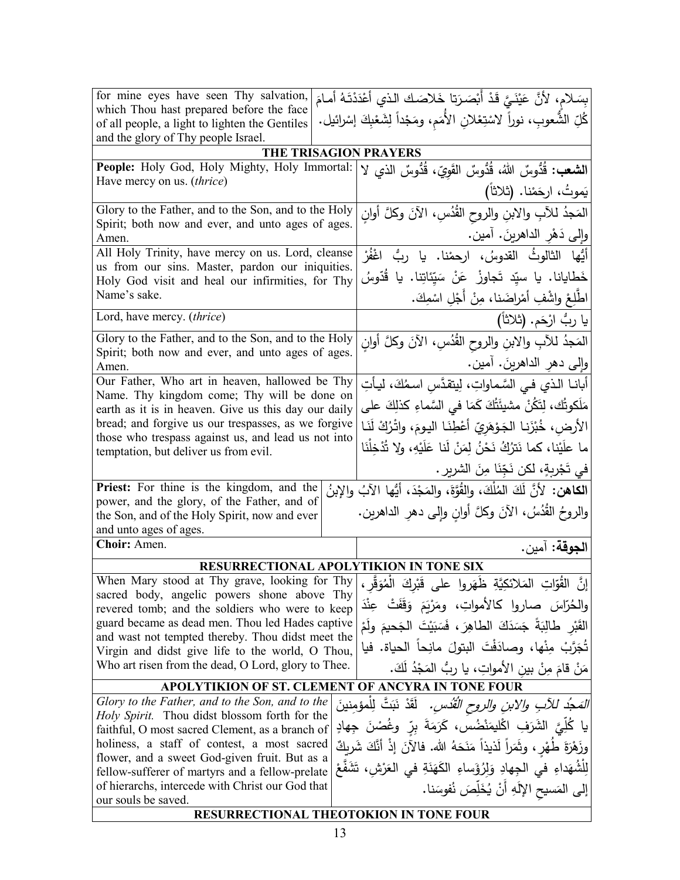| for mine eyes have seen Thy salvation,                                                                                                                                        |                                                                                                                      |  |
|-------------------------------------------------------------------------------------------------------------------------------------------------------------------------------|----------------------------------------------------------------------------------------------------------------------|--|
| which Thou hast prepared before the face                                                                                                                                      | بِسَلام، لأَنَّ عَيْنَـيَّ قَدْ أَبْصَرَتا خَلاصَك الذي أَعْدَدْتَهُ أَمامَ                                          |  |
| of all people, a light to lighten the Gentiles                                                                                                                                | كُلِّ الشُّعوبِ، نوراً لاسْتِعْلانِ الأُمَم، ومَجْداً لِشَعْبِكَ إسْرائيل.                                           |  |
| and the glory of Thy people Israel.                                                                                                                                           |                                                                                                                      |  |
|                                                                                                                                                                               | THE TRISAGION PRAYERS                                                                                                |  |
| People: Holy God, Holy Mighty, Holy Immortal:                                                                                                                                 | ا <b>لشعب:</b> قُدُّوسٌ اللَّهُ، قُدُّوسٌ القَوِيِّ، قُدُّوسٌ الذي لا                                                |  |
| Have mercy on us. (thrice)                                                                                                                                                    | يَموتُ، ارحَمْنا. (ثلاثاً)                                                                                           |  |
| Glory to the Father, and to the Son, and to the Holy                                                                                                                          | المَجدُ للآبِ والابنِ والروحِ القُدُسِ، الآنَ وكلَّ أوانِ                                                            |  |
| Spirit; both now and ever, and unto ages of ages.                                                                                                                             | وإِلى دَهْرِ الداهرينَ. أمين.                                                                                        |  |
| Amen.                                                                                                                                                                         |                                                                                                                      |  |
| All Holy Trinity, have mercy on us. Lord, cleanse<br>us from our sins. Master, pardon our iniquities.                                                                         | أَيُّها الثالوثُ القدوسُ، ارحمْنا. يا ربُّ اغْفُرْ                                                                   |  |
| Holy God visit and heal our infirmities, for Thy                                                                                                                              | خَطايانا. يا سيّد تَجاوزْ عَنْ سَيِّئاتِنا. يا قُدّوسُ                                                               |  |
| Name's sake.                                                                                                                                                                  | اطْلِعْ واشْفِ أَمْراِضَنا، مِنْ أَجْلِ اسْمِكَ.                                                                     |  |
| Lord, have mercy. (thrice)                                                                                                                                                    | يا ربُّ ارْحَم. (ثلاثاً)                                                                                             |  |
| Glory to the Father, and to the Son, and to the Holy                                                                                                                          | المَجدُ للآبِ والابنِ والروحِ القُدُسِ، الآنَ وكلَّ أوانِ                                                            |  |
| Spirit; both now and ever, and unto ages of ages.<br>Amen.                                                                                                                    | وإِلى دهر الداهرينَ. أمين.                                                                                           |  |
| Our Father, Who art in heaven, hallowed be Thy                                                                                                                                | أبانـا الـذي فـى السَّماواتِ، لِيتقدَّس اسمُكَ، ليـأتِ                                                               |  |
| Name. Thy kingdom come; Thy will be done on<br>earth as it is in heaven. Give us this day our daily                                                                           | مَلَكوتُك، لِتَكُنْ مشيئَتُكَ كَمَا في السَّماءِ كذلِكَ على                                                          |  |
| bread; and forgive us our trespasses, as we forgive                                                                                                                           | الأرض، خُبْزَنـا الْجَوْهَرِيّ أَعْطِنَـا اليومَ، واتْرُكْ لَنَـا                                                    |  |
| those who trespass against us, and lead us not into                                                                                                                           |                                                                                                                      |  |
| temptation, but deliver us from evil.                                                                                                                                         | ما علَيْنا، كما نَترُكُ نَحْنُ لِمَنْ لَنا عَلَيْهِ، ولا تُدْخِلْنَا                                                 |  |
|                                                                                                                                                                               | في تَجْرِبةٍ، لكن نَجِّنَا مِنَ الشريرِ .                                                                            |  |
| Priest: For thine is the kingdom, and the                                                                                                                                     | ا <b>لكاهن:</b> لأنَّ لَكَ المُلْكَ، والقُوَّةَ، والمَجْدَ، أيُّها الآبُ والإبنُ                                     |  |
| power, and the glory, of the Father, and of<br>the Son, and of the Holy Spirit, now and ever                                                                                  | والروحُ القُدُسُ، الآنَ وكلَّ أوانِ وإلى دهرِ الداهرين.                                                              |  |
| and unto ages of ages.                                                                                                                                                        |                                                                                                                      |  |
| Choir: Amen.                                                                                                                                                                  | ا <b>لجوقة:</b> آمين.                                                                                                |  |
|                                                                                                                                                                               |                                                                                                                      |  |
|                                                                                                                                                                               | RESURRECTIONAL APOLYTIKION IN TONE SIX                                                                               |  |
| sacred body, angelic powers shone above Thy                                                                                                                                   | إِنَّ الْقُوَّاتِ الْمَلائِكِيَّةِ ظَهَروا على قَبْرِكَ الْمُوَقَّرِ ، When Mary stood at Thy grave, looking for Thy |  |
| revered tomb; and the soldiers who were to keep                                                                                                                               | والْحُرَّاسَ صاروا كالأُمواتِ، ومَرْبَمَ وَقَفَتْ عِنْدَ                                                             |  |
| guard became as dead men. Thou led Hades captive                                                                                                                              | القَبْرِ     طالِبَةٌ   جَسَدَكَ   الطاهِرَ ،   فَسَبَيْتَ   الجَحيمَ   ولَمْ                                        |  |
| and wast not tempted thereby. Thou didst meet the<br>Virgin and didst give life to the world, O Thou,                                                                         | تُجَرَّبْ مِنْها، وصادَفْتَ البتولَ مانِحاً الحياة. فيا                                                              |  |
| Who art risen from the dead, O Lord, glory to Thee.                                                                                                                           | مَنْ قامَ مِنْ بينِ الأمواتِ، يا رِبُ المَجْدُ لَكَ.                                                                 |  |
| APOLYTIKION OF ST. CLEMENT OF ANCYRA IN TONE FOUR                                                                                                                             |                                                                                                                      |  |
| Glory to the Father, and to the Son, and to the                                                                                                                               | <i>المَجُد للآبِ والابنِ والروح القُدْسِ.</i> لَقَدْ نَبَتَّ لِلْمؤمنينَ                                             |  |
| Holy Spirit. Thou didst blossom forth for the                                                                                                                                 | يا كُلِّيَّ الشَرَفِ اكْليمَنْضُس، كَرَمَةَ بِرِّ وغُصْنَ جِهادٍ                                                     |  |
| faithful, O most sacred Clement, as a branch of                                                                                                                               |                                                                                                                      |  |
| holiness, a staff of contest, a most sacred<br>وزَهْرَةَ طُهْرٍ ، وثَمَراً لَذيذاً مَنَحَهُ الله. فالآنَ إذْ أَنَّكَ شَرِيكٌ<br>flower, and a sweet God-given fruit. But as a |                                                                                                                      |  |
| fellow-sufferer of martyrs and a fellow-prelate                                                                                                                               | لِلشُهَداءِ في الْجِهادِ وَلِرُؤَساءِ الدَّهَنَةِ في العَرْش، تَشَفَّعْ                                              |  |
| of hierarchs, intercede with Christ our God that                                                                                                                              | إلى المَسيح الإِلَهِ أَنْ يُخَلِّصَ نُفوسَنا.                                                                        |  |
| our souls be saved.                                                                                                                                                           |                                                                                                                      |  |
| RESURRECTIONAL THEOTOKION IN TONE FOUR                                                                                                                                        |                                                                                                                      |  |